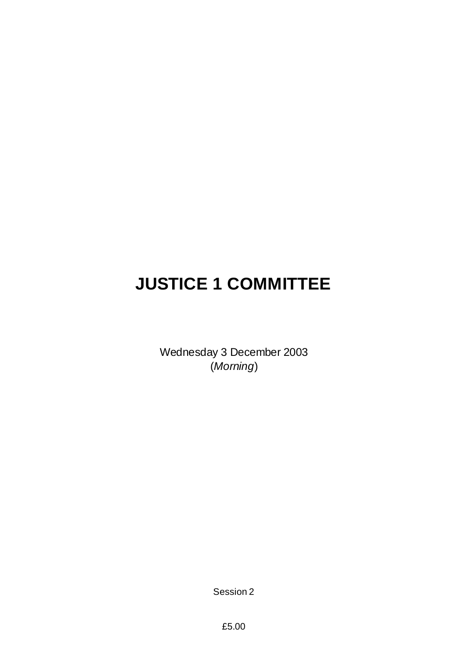# **JUSTICE 1 COMMITTEE**

Wednesday 3 December 2003 (*Morning*)

Session 2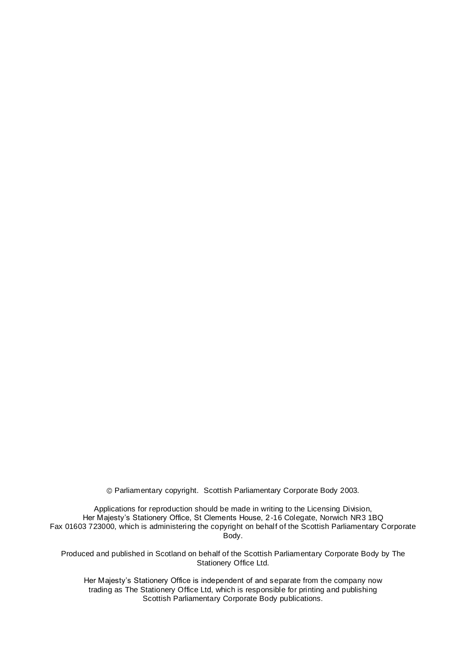Parliamentary copyright. Scottish Parliamentary Corporate Body 2003.

Applications for reproduction should be made in writing to the Licensing Division, Her Majesty's Stationery Office, St Clements House, 2-16 Colegate, Norwich NR3 1BQ Fax 01603 723000, which is administering the copyright on behalf of the Scottish Parliamentary Corporate Body.

Produced and published in Scotland on behalf of the Scottish Parliamentary Corporate Body by The Stationery Office Ltd.

Her Majesty's Stationery Office is independent of and separate from the company now trading as The Stationery Office Ltd, which is responsible for printing and publishing Scottish Parliamentary Corporate Body publications.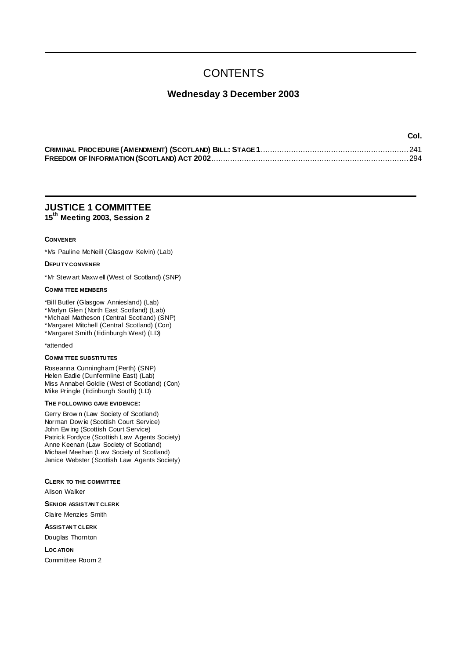## **CONTENTS**

### **Wednesday 3 December 2003**

| --- |
|-----|
|     |
|     |

**Col.**

### **JUSTICE 1 COMMITTEE 15th Meeting 2003, Session 2**

#### **CONVENER**

\*Ms Pauline McNeill (Glasgow Kelvin) (Lab)

#### **DEPU TY CONVENER**

\*Mr Stew art Maxw ell (West of Scotland) (SNP)

#### **COMMI TTEE MEMBERS**

\*Bill Butler (Glasgow Anniesland) (Lab)

\*Marlyn Glen (North East Scotland) (Lab)

\*Michael Matheson (Central Scotland) (SNP) \*Margaret Mitchell (Central Scotland) (Con)

\*Margaret Smith (Edinburgh West) (LD)

#### \*attended

#### **COMMI TTEE SUBSTITU TES**

Roseanna Cunningham (Perth) (SNP) Helen Eadie (Dunfermline East) (Lab) Miss Annabel Goldie (West of Scotland) (Con) Mike Pringle (Edinburgh South) (LD)

#### **THE FOLLOWING GAVE EVIDENCE:**

Gerry Brow n (Law Society of Scotland) Norman Dow ie (Scottish Court Service) John Ew ing (Scottish Court Service) Patrick Fordyce (Scottish Law Agents Society) Anne Keenan (Law Society of Scotland) Michael Meehan (Law Society of Scotland) Janice Webster (Scottish Law Agents Society)

#### **CLERK TO THE COMMITTEE**

Alison Walker

**SENIOR ASSISTAN T CLERK**

Claire Menzies Smith

**ASSISTAN T CLERK**

Douglas Thornton

**LOC ATION**

Committee Room 2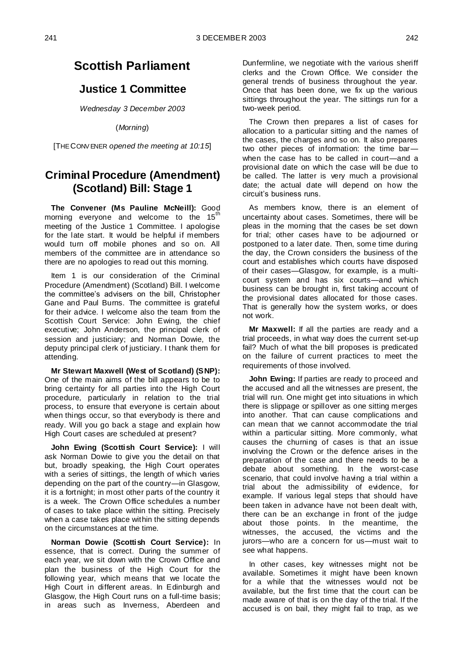### **Scottish Parliament**

### **Justice 1 Committee**

*Wednesday 3 December 2003*

(*Morning*)

[THE CONV ENER *opened the meeting at 10:15*]

### **Criminal Procedure (Amendment) (Scotland) Bill: Stage 1**

**The Convener (Ms Pauline McNeill):** Good morning everyone and welcome to the  $15<sup>th</sup>$ meeting of the Justice 1 Committee. I apologise for the late start. It would be helpful if members would turn off mobile phones and so on. All members of the committee are in attendance so there are no apologies to read out this morning.

Item 1 is our consideration of the Criminal Procedure (Amendment) (Scotland) Bill. I welcome the committee's advisers on the bill, Christopher Gane and Paul Burns. The committee is grateful for their advice. I welcome also the team from the Scottish Court Service: John Ewing, the chief executive; John Anderson, the principal clerk of session and justiciary; and Norman Dowie, the deputy principal clerk of justiciary. I thank them for attending.

**Mr Stewart Maxwell (West of Scotland) (SNP):**  One of the main aims of the bill appears to be to bring certainty for all parties into the High Court procedure, particularly in relation to the trial process, to ensure that everyone is certain about when things occur, so that everybody is there and ready. Will you go back a stage and explain how High Court cases are scheduled at present?

**John Ewing (Scottish Court Service):** I will ask Norman Dowie to give you the detail on that but, broadly speaking, the High Court operates with a series of sittings, the length of which varies depending on the part of the country—in Glasgow, it is a fortnight; in most other parts of the country it is a week. The Crown Office schedules a number of cases to take place within the sitting. Precisely when a case takes place within the sitting depends on the circumstances at the time.

**Norman Dowie (Scottish Court Service):** In essence, that is correct. During the summer of each year, we sit down with the Crown Office and plan the business of the High Court for the following year, which means that we locate the High Court in different areas. In Edinburgh and Glasgow, the High Court runs on a full-time basis; in areas such as Inverness, Aberdeen and

Dunfermline, we negotiate with the various sheriff clerks and the Crown Office. We consider the general trends of business throughout the year. Once that has been done, we fix up the various sittings throughout the year. The sittings run for a two-week period.

The Crown then prepares a list of cases for allocation to a particular sitting and the names of the cases, the charges and so on. It also prepares two other pieces of information: the time bar when the case has to be called in court—and a provisional date on which the case will be due to be called. The latter is very much a provisional date; the actual date will depend on how the circuit's business runs.

As members know, there is an element of uncertainty about cases. Sometimes, there will be pleas in the morning that the cases be set down for trial; other cases have to be adjourned or postponed to a later date. Then, some time during the day, the Crown considers the business of the court and establishes which courts have disposed of their cases—Glasgow, for example, is a multicourt system and has six courts—and which business can be brought in, first taking account of the provisional dates allocated for those cases. That is generally how the system works, or does not work.

**Mr Maxwell:** If all the parties are ready and a trial proceeds, in what way does the current set-up fail? Much of what the bill proposes is predicated on the failure of current practices to meet the requirements of those involved.

**John Ewing:** If parties are ready to proceed and the accused and all the witnesses are present, the trial will run. One might get into situations in which there is slippage or spillover as one sitting merges into another. That can cause complications and can mean that we cannot accommodate the trial within a particular sitting. More commonly, what causes the churning of cases is that an issue involving the Crown or the defence arises in the preparation of the case and there needs to be a debate about something. In the worst-case scenario, that could involve having a trial within a trial about the admissibility of evidence, for example. If various legal steps that should have been taken in advance have not been dealt with, there can be an exchange in front of the judge about those points. In the meantime, the witnesses, the accused, the victims and the jurors—who are a concern for us—must wait to see what happens.

In other cases, key witnesses might not be available. Sometimes it might have been known for a while that the witnesses would not be available, but the first time that the court can be made aware of that is on the day of the trial. If the accused is on bail, they might fail to trap, as we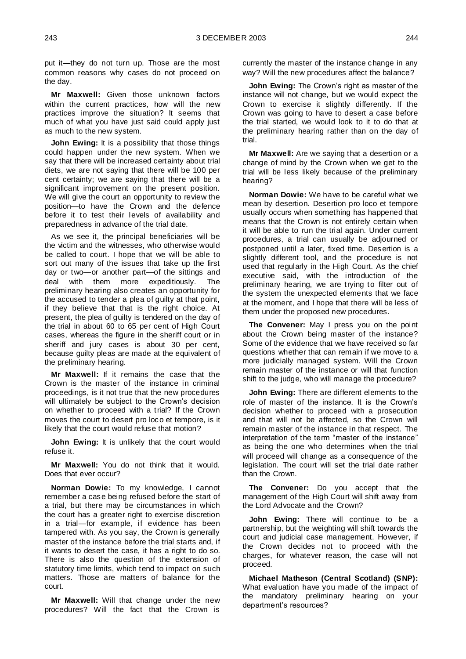put it—they do not turn up. Those are the most common reasons why cases do not proceed on the day.

**Mr Maxwell:** Given those unknown factors within the current practices, how will the new practices improve the situation? It seems that much of what you have just said could apply just as much to the new system.

**John Ewing:** It is a possibility that those things could happen under the new system. When we say that there will be increased certainty about trial diets, we are not saying that there will be 100 per cent certainty; we are saying that there will be a significant improvement on the present position. We will give the court an opportunity to review the position—to have the Crown and the defence before it to test their levels of availability and preparedness in advance of the trial date.

As we see it, the principal beneficiaries will be the victim and the witnesses, who otherwise would be called to court. I hope that we will be able to sort out many of the issues that take up the first day or two—or another part—of the sittings and deal with them more expeditiously. The preliminary hearing also creates an opportunity for the accused to tender a plea of guilty at that point, if they believe that that is the right choice. At present, the plea of guilty is tendered on the day of the trial in about 60 to 65 per cent of High Court cases, whereas the figure in the sheriff court or in sheriff and jury cases is about 30 per cent, because guilty pleas are made at the equivalent of the preliminary hearing.

**Mr Maxwell:** If it remains the case that the Crown is the master of the instance in criminal proceedings, is it not true that the new procedures will ultimately be subject to the Crown's decision on whether to proceed with a trial? If the Crown moves the court to desert pro loco et tempore, is it likely that the court would refuse that motion?

**John Ewing:** It is unlikely that the court would refuse it.

**Mr Maxwell:** You do not think that it would. Does that ever occur?

**Norman Dowie:** To my knowledge, I cannot remember a case being refused before the start of a trial, but there may be circumstances in which the court has a greater right to exercise discretion in a trial—for example, if evidence has been tampered with. As you say, the Crown is generally master of the instance before the trial starts and, if it wants to desert the case, it has a right to do so. There is also the question of the extension of statutory time limits, which tend to impact on such matters. Those are matters of balance for the court.

**Mr Maxwell:** Will that change under the new procedures? Will the fact that the Crown is currently the master of the instance change in any way? Will the new procedures affect the balance?

**John Ewing:** The Crown's right as master of the instance will not change, but we would expect the Crown to exercise it slightly differently. If the Crown was going to have to desert a case before the trial started, we would look to it to do that at the preliminary hearing rather than on the day of trial.

**Mr Maxwell:** Are we saying that a desertion or a change of mind by the Crown when we get to the trial will be less likely because of the preliminary hearing?

**Norman Dowie:** We have to be careful what we mean by desertion. Desertion pro loco et tempore usually occurs when something has happened that means that the Crown is not entirely certain when it will be able to run the trial again. Under current procedures, a trial can usually be adjourned or postponed until a later, fixed time. Desertion is a slightly different tool, and the procedure is not used that regularly in the High Court. As the chief executive said, with the introduction of the preliminary hearing, we are trying to filter out of the system the unexpected elements that we face at the moment, and I hope that there will be less of them under the proposed new procedures.

**The Convener:** May I press you on the point about the Crown being master of the instance? Some of the evidence that we have received so far questions whether that can remain if we move to a more judicially managed system. Will the Crown remain master of the instance or will that function shift to the judge, who will manage the procedure?

**John Ewing:** There are different elements to the role of master of the instance. It is the Crown's decision whether to proceed with a prosecution and that will not be affected, so the Crown will remain master of the instance in that respect. The interpretation of the term "master of the instance" as being the one who determines when the trial will proceed will change as a consequence of the legislation. The court will set the trial date rather than the Crown.

**The Convener:** Do you accept that the management of the High Court will shift away from the Lord Advocate and the Crown?

**John Ewing:** There will continue to be a partnership, but the weighting will shift towards the court and judicial case management. However, if the Crown decides not to proceed with the charges, for whatever reason, the case will not proceed.

**Michael Matheson (Central Scotland) (SNP):**  What evaluation have you made of the impact of the mandatory preliminary hearing on your department's resources?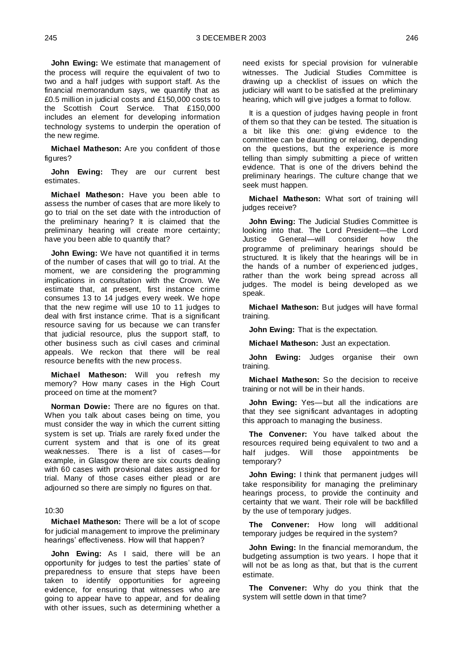**John Ewing:** We estimate that management of the process will require the equivalent of two to two and a half judges with support staff. As the financial memorandum says, we quantify that as £0.5 million in judicial costs and £150,000 costs to the Scottish Court Service. That £150,000 includes an element for developing information technology systems to underpin the operation of the new regime.

**Michael Matheson:** Are you confident of those figures?

**John Ewing:** They are our current best estimates.

**Michael Matheson:** Have you been able to assess the number of cases that are more likely to go to trial on the set date with the introduction of the preliminary hearing? It is claimed that the preliminary hearing will create more certainty; have you been able to quantify that?

**John Ewing:** We have not quantified it in terms of the number of cases that will go to trial. At the moment, we are considering the programming implications in consultation with the Crown. We estimate that, at present, first instance crime consumes 13 to 14 judges every week. We hope that the new regime will use 10 to 11 judges to deal with first instance crime. That is a significant resource saving for us because we can transfer that judicial resource, plus the support staff, to other business such as civil cases and criminal appeals. We reckon that there will be real resource benefits with the new process.

**Michael Matheson:** Will you refresh my memory? How many cases in the High Court proceed on time at the moment?

**Norman Dowie:** There are no figures on that. When you talk about cases being on time, you must consider the way in which the current sitting system is set up. Trials are rarely fixed under the current system and that is one of its great weaknesses. There is a list of cases—for example, in Glasgow there are six courts dealing with 60 cases with provisional dates assigned for trial. Many of those cases either plead or are adjourned so there are simply no figures on that.

#### 10:30

**Michael Matheson:** There will be a lot of scope for judicial management to improve the preliminary hearings' effectiveness. How will that happen?

**John Ewing:** As I said, there will be an opportunity for judges to test the parties' state of preparedness to ensure that steps have been taken to identify opportunities for agreeing evidence, for ensuring that witnesses who are going to appear have to appear, and for dealing with other issues, such as determining whether a

need exists for special provision for vulnerable witnesses. The Judicial Studies Committee is drawing up a checklist of issues on which the judiciary will want to be satisfied at the preliminary hearing, which will give judges a format to follow.

It is a question of judges having people in front of them so that they can be tested. The situation is a bit like this one: giving evidence to the committee can be daunting or relaxing, depending on the questions, but the experience is more telling than simply submitting a piece of written evidence. That is one of the drivers behind the preliminary hearings. The culture change that we seek must happen.

**Michael Matheson:** What sort of training will judges receive?

**John Ewing:** The Judicial Studies Committee is looking into that. The Lord President—the Lord Justice General—will consider how the programme of preliminary hearings should be structured. It is likely that the hearings will be in the hands of a number of experienced judges, rather than the work being spread across all judges. The model is being developed as we speak.

**Michael Matheson:** But judges will have formal training.

**John Ewing:** That is the expectation.

**Michael Matheson:** Just an expectation.

**John Ewing:** Judges organise their own training.

**Michael Matheson:** So the decision to receive training or not will be in their hands.

**John Ewing:** Yes—but all the indications are that they see significant advantages in adopting this approach to managing the business.

**The Convener:** You have talked about the resources required being equivalent to two and a half judges. Will those appointments be temporary?

**John Ewing:** I think that permanent judges will take responsibility for managing the preliminary hearings process, to provide the continuity and certainty that we want. Their role will be backfilled by the use of temporary judges.

**The Convener:** How long will additional temporary judges be required in the system?

**John Ewing:** In the financial memorandum, the budgeting assumption is two years. I hope that it will not be as long as that, but that is the current estimate.

**The Convener:** Why do you think that the system will settle down in that time?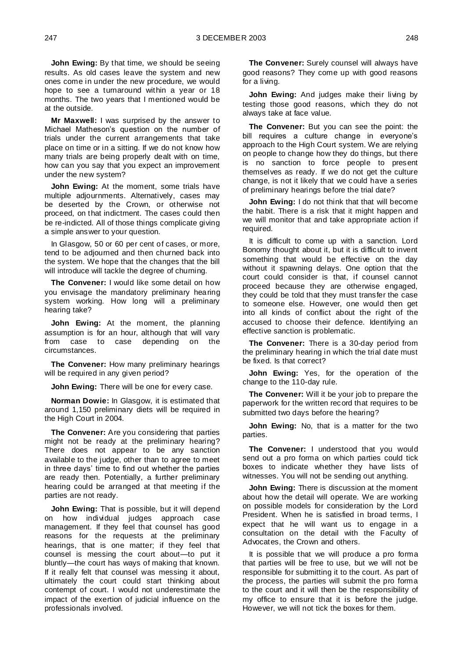**John Ewing:** By that time, we should be seeing results. As old cases leave the system and new ones come in under the new procedure, we would hope to see a turnaround within a year or 18 months. The two years that I mentioned would be at the outside.

**Mr Maxwell:** I was surprised by the answer to Michael Matheson's question on the number of trials under the current arrangements that take place on time or in a sitting. If we do not know how many trials are being properly dealt with on time, how can you say that you expect an improvement under the new system?

**John Ewing:** At the moment, some trials have multiple adjournments. Alternatively, cases may be deserted by the Crown, or otherwise not proceed, on that indictment. The cases could then be re-indicted. All of those things complicate giving a simple answer to your question.

In Glasgow, 50 or 60 per cent of cases, or more, tend to be adjourned and then churned back into the system. We hope that the changes that the bill will introduce will tackle the degree of churning.

**The Convener:** I would like some detail on how you envisage the mandatory preliminary hearing system working. How long will a preliminary hearing take?

**John Ewing:** At the moment, the planning assumption is for an hour, although that will vary<br>from case to case depending on the from case to case circumstances.

**The Convener:** How many preliminary hearings will be required in any given period?

**John Ewing:** There will be one for every case.

**Norman Dowie:** In Glasgow, it is estimated that around 1,150 preliminary diets will be required in the High Court in 2004.

**The Convener:** Are you considering that parties might not be ready at the preliminary hearing? There does not appear to be any sanction available to the judge, other than to agree to meet in three days' time to find out whether the parties are ready then. Potentially, a further preliminary hearing could be arranged at that meeting if the parties are not ready.

**John Ewing:** That is possible, but it will depend on how individual judges approach case management. If they feel that counsel has good reasons for the requests at the preliminary hearings, that is one matter; if they feel that counsel is messing the court about—to put it bluntly—the court has ways of making that known. If it really felt that counsel was messing it about, ultimately the court could start thinking about contempt of court. I would not underestimate the impact of the exertion of judicial influence on the professionals involved.

**The Convener:** Surely counsel will always have good reasons? They come up with good reasons for a living.

**John Ewing:** And judges make their living by testing those good reasons, which they do not always take at face value.

**The Convener:** But you can see the point: the bill requires a culture change in everyone's approach to the High Court system. We are relying on people to change how they do things, but there is no sanction to force people to present themselves as ready. If we do not get the culture change, is not it likely that we could have a series of preliminary hearings before the trial date?

**John Ewing:** I do not think that that will become the habit. There is a risk that it might happen and we will monitor that and take appropriate action if required.

It is difficult to come up with a sanction. Lord Bonomy thought about it, but it is difficult to invent something that would be effective on the day without it spawning delays. One option that the court could consider is that, if counsel cannot proceed because they are otherwise engaged, they could be told that they must transfer the case to someone else. However, one would then get into all kinds of conflict about the right of the accused to choose their defence. Identifying an effective sanction is problematic.

**The Convener:** There is a 30-day period from the preliminary hearing in which the trial date must be fixed. Is that correct?

**John Ewing:** Yes, for the operation of the change to the 110-day rule.

**The Convener:** Will it be your job to prepare the paperwork for the written record that requires to be submitted two days before the hearing?

**John Ewing:** No, that is a matter for the two parties.

**The Convener:** I understood that you would send out a pro forma on which parties could tick boxes to indicate whether they have lists of witnesses. You will not be sending out anything.

**John Ewing:** There is discussion at the moment about how the detail will operate. We are working on possible models for consideration by the Lord President. When he is satisfied in broad terms, I expect that he will want us to engage in a consultation on the detail with the Faculty of Advocates, the Crown and others.

It is possible that we will produce a pro forma that parties will be free to use, but we will not be responsible for submitting it to the court. As part of the process, the parties will submit the pro forma to the court and it will then be the responsibility of my office to ensure that it is before the judge. However, we will not tick the boxes for them.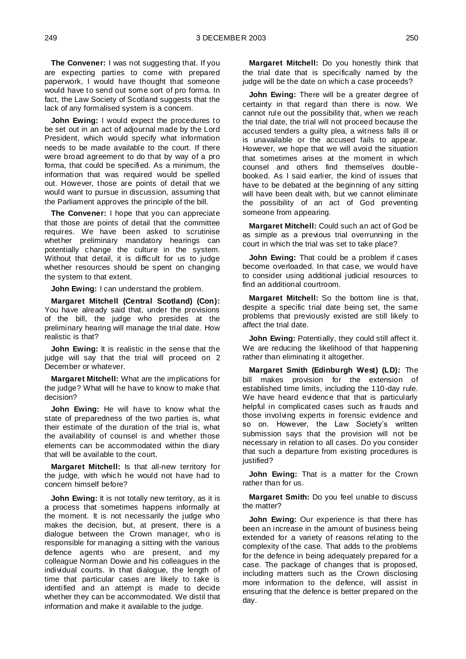**The Convener:** I was not suggesting that. If you are expecting parties to come with prepared paperwork, I would have thought that someone would have to send out some sort of pro forma. In fact, the Law Society of Scotland suggests that the lack of any formalised system is a concern.

**John Ewing:** I would expect the procedures to be set out in an act of adjournal made by the Lord President, which would specify what information needs to be made available to the court. If there were broad agreement to do that by way of a pro forma, that could be specified. As a minimum, the information that was required would be spelled out. However, those are points of detail that we would want to pursue in discussion, assuming that the Parliament approves the principle of the bill.

**The Convener:** I hope that you can appreciate that those are points of detail that the committee requires. We have been asked to scrutinise whether preliminary mandatory hearings can potentially change the culture in the system. Without that detail, it is difficult for us to judge whether resources should be spent on changing the system to that extent.

**John Ewing:** I can understand the problem.

**Margaret Mitchell (Central Scotland) (Con):**  You have already said that, under the provisions of the bill, the judge who presides at the preliminary hearing will manage the trial date. How realistic is that?

**John Ewing:** It is realistic in the sense that the judge will say that the trial will proceed on 2 December or whatever.

**Margaret Mitchell:** What are the implications for the judge? What will he have to know to make that decision?

**John Ewing:** He will have to know what the state of preparedness of the two parties is, what their estimate of the duration of the trial is, what the availability of counsel is and whether those elements can be accommodated within the diary that will be available to the court.

**Margaret Mitchell:** Is that all-new territory for the judge, with which he would not have had to concern himself before?

**John Ewing:** It is not totally new territory, as it is a process that sometimes happens informally at the moment. It is not necessarily the judge who makes the decision, but, at present, there is a dialogue between the Crown manager, who is responsible for managing a sitting with the various defence agents who are present, and my colleague Norman Dowie and his colleagues in the individual courts. In that dialogue, the length of time that particular cases are likely to take is identified and an attempt is made to decide whether they can be accommodated. We distil that information and make it available to the judge.

**Margaret Mitchell:** Do you honestly think that the trial date that is specifically named by the judge will be the date on which a case proceeds?

**John Ewing:** There will be a greater degree of certainty in that regard than there is now. We cannot rule out the possibility that, when we reach the trial date, the trial will not proceed because the accused tenders a guilty plea, a witness falls ill or is unavailable or the accused fails to appear. However, we hope that we will avoid the situation that sometimes arises at the moment in which counsel and others find themselves doublebooked. As I said earlier, the kind of issues that have to be debated at the beginning of any sitting will have been dealt with, but we cannot eliminate the possibility of an act of God preventing someone from appearing.

**Margaret Mitchell:** Could such an act of God be as simple as a previous trial overrunning in the court in which the trial was set to take place?

**John Ewing:** That could be a problem if cases become overloaded. In that case, we would have to consider using additional judicial resources to find an additional courtroom.

**Margaret Mitchell:** So the bottom line is that, despite a specific trial date being set, the same problems that previously existed are still likely to affect the trial date.

**John Ewing: Potentially, they could still affect it.** We are reducing the likelihood of that happening rather than eliminating it altogether.

**Margaret Smith (Edinburgh West) (LD):** The bill makes provision for the extension of established time limits, including the 110-day rule. We have heard evidence that that is particularly helpful in complicated cases such as frauds and those involving experts in forensic evidence and so on. However, the Law Society's written submission says that the provision will not be necessary in relation to all cases. Do you consider that such a departure from existing procedures is justified?

**John Ewing:** That is a matter for the Crown rather than for us.

**Margaret Smith:** Do you feel unable to discuss the matter?

**John Ewing:** Our experience is that there has been an increase in the amount of business being extended for a variety of reasons relating to the complexity of the case. That adds to the problems for the defence in being adequately prepared for a case. The package of changes that is proposed, including matters such as the Crown disclosing more information to the defence, will assist in ensuring that the defence is better prepared on the day.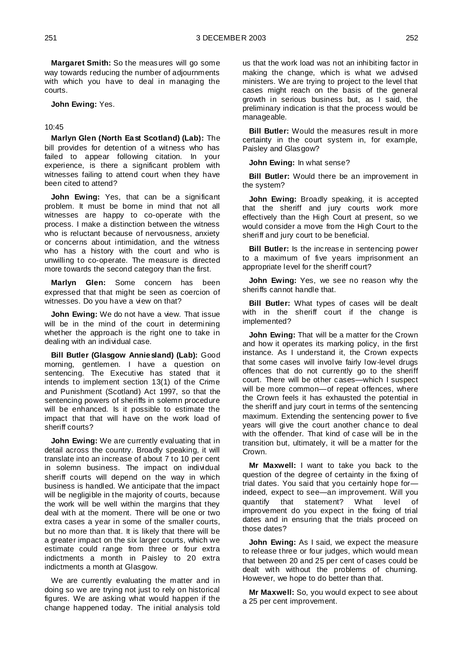**Margaret Smith:** So the measures will go some way towards reducing the number of adjournments with which you have to deal in managing the courts.

**John Ewing:** Yes.

#### 10:45

**Marlyn Glen (North East Scotland) (Lab):** The bill provides for detention of a witness who has failed to appear following citation. In your experience, is there a significant problem with witnesses failing to attend court when they have been cited to attend?

**John Ewing:** Yes, that can be a significant problem. It must be borne in mind that not all witnesses are happy to co-operate with the process. I make a distinction between the witness who is reluctant because of nervousness, anxiety or concerns about intimidation, and the witness who has a history with the court and who is unwilling to co-operate. The measure is directed more towards the second category than the first.

**Marlyn Glen:** Some concern has been expressed that that might be seen as coercion of witnesses. Do you have a view on that?

**John Ewing:** We do not have a view. That issue will be in the mind of the court in determining whether the approach is the right one to take in dealing with an individual case.

**Bill Butler (Glasgow Anniesland) (Lab):** Good morning, gentlemen. I have a question on sentencing. The Executive has stated that it intends to implement section 13(1) of the Crime and Punishment (Scotland) Act 1997, so that the sentencing powers of sheriffs in solemn procedure will be enhanced. Is it possible to estimate the impact that that will have on the work load of sheriff courts?

**John Ewing:** We are currently evaluating that in detail across the country. Broadly speaking, it will translate into an increase of about 7 to 10 per cent in solemn business. The impact on individual sheriff courts will depend on the way in which business is handled. We anticipate that the impact will be negligible in the majority of courts, because the work will be well within the margins that they deal with at the moment. There will be one or two extra cases a year in some of the smaller courts, but no more than that. It is likely that there will be a greater impact on the six larger courts, which we estimate could range from three or four extra indictments a month in Paisley to 20 extra indictments a month at Glasgow.

We are currently evaluating the matter and in doing so we are trying not just to rely on historical figures. We are asking what would happen if the change happened today. The initial analysis told

us that the work load was not an inhibiting factor in making the change, which is what we advised ministers. We are trying to project to the level that cases might reach on the basis of the general growth in serious business but, as I said, the preliminary indication is that the process would be manageable.

**Bill Butler:** Would the measures result in more certainty in the court system in, for example, Paisley and Glasgow?

**John Ewing:** In what sense?

**Bill Butler:** Would there be an improvement in the system?

**John Ewing:** Broadly speaking, it is accepted that the sheriff and jury courts work more effectively than the High Court at present, so we would consider a move from the High Court to the sheriff and jury court to be beneficial.

**Bill Butler:** Is the increase in sentencing power to a maximum of five years imprisonment an appropriate level for the sheriff court?

**John Ewing:** Yes, we see no reason why the sheriffs cannot handle that.

**Bill Butler:** What types of cases will be dealt with in the sheriff court if the change is implemented?

**John Ewing:** That will be a matter for the Crown and how it operates its marking policy, in the first instance. As I understand it, the Crown expects that some cases will involve fairly low-level drugs offences that do not currently go to the sheriff court. There will be other cases—which I suspect will be more common—of repeat offences, where the Crown feels it has exhausted the potential in the sheriff and jury court in terms of the sentencing maximum. Extending the sentencing power to five years will give the court another chance to deal with the offender. That kind of case will be in the transition but, ultimately, it will be a matter for the Crown.

**Mr Maxwell:** I want to take you back to the question of the degree of certainty in the fixing of trial dates. You said that you certainly hope for indeed, expect to see—an improvement. Will you quantify that statement? What level of improvement do you expect in the fixing of trial dates and in ensuring that the trials proceed on those dates?

**John Ewing:** As I said, we expect the measure to release three or four judges, which would mean that between 20 and 25 per cent of cases could be dealt with without the problems of churning. However, we hope to do better than that.

**Mr Maxwell:** So, you would expect to see about a 25 per cent improvement.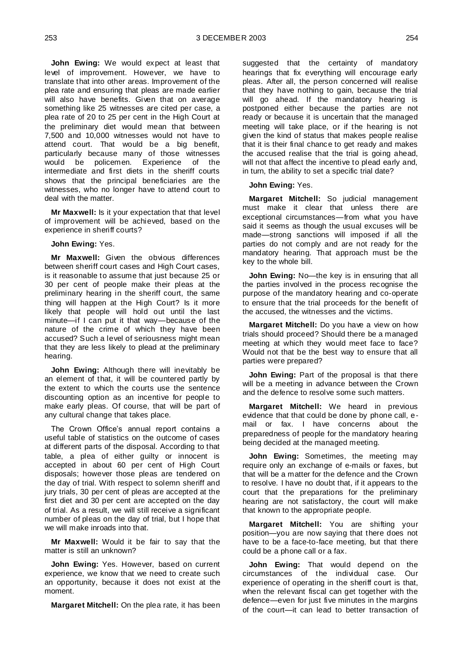**John Ewing:** We would expect at least that level of improvement. However, we have to translate that into other areas. Improvement of the plea rate and ensuring that pleas are made earlier will also have benefits. Given that on average something like 25 witnesses are cited per case, a plea rate of 20 to 25 per cent in the High Court at the preliminary diet would mean that between 7,500 and 10,000 witnesses would not have to attend court. That would be a big benefit, particularly because many of those witnesses would be policemen. Experience of the intermediate and first diets in the sheriff courts shows that the principal beneficiaries are the witnesses, who no longer have to attend court to deal with the matter.

**Mr Maxwell:** Is it your expectation that that level of improvement will be achieved, based on the experience in sheriff courts?

**John Ewing:** Yes.

**Mr Maxwell:** Given the obvious differences between sheriff court cases and High Court cases, is it reasonable to assume that just because 25 or 30 per cent of people make their pleas at the preliminary hearing in the sheriff court, the same thing will happen at the High Court? Is it more likely that people will hold out until the last minute—if I can put it that way—because of the nature of the crime of which they have been accused? Such a level of seriousness might mean that they are less likely to plead at the preliminary hearing.

**John Ewing:** Although there will inevitably be an element of that, it will be countered partly by the extent to which the courts use the sentence discounting option as an incentive for people to make early pleas. Of course, that will be part of any cultural change that takes place.

The Crown Office's annual report contains a useful table of statistics on the outcome of cases at different parts of the disposal. According to that table, a plea of either guilty or innocent is accepted in about 60 per cent of High Court disposals; however those pleas are tendered on the day of trial. With respect to solemn sheriff and jury trials, 30 per cent of pleas are accepted at the first diet and 30 per cent are accepted on the day of trial. As a result, we will still receive a significant number of pleas on the day of trial, but I hope that we will make inroads into that.

**Mr Maxwell:** Would it be fair to say that the matter is still an unknown?

**John Ewing:** Yes. However, based on current experience, we know that we need to create such an opportunity, because it does not exist at the moment.

**Margaret Mitchell:** On the plea rate, it has been

suggested that the certainty of mandatory hearings that fix everything will encourage early pleas. After all, the person concerned will realise that they have nothing to gain, because the trial will go ahead. If the mandatory hearing is postponed either because the parties are not ready or because it is uncertain that the managed meeting will take place, or if the hearing is not given the kind of status that makes people realise that it is their final chance to get ready and makes the accused realise that the trial is going ahead, will not that affect the incentive to plead early and, in turn, the ability to set a specific trial date?

**John Ewing:** Yes.

**Margaret Mitchell:** So judicial management must make it clear that unless there are exceptional circumstances—from what you have said it seems as though the usual excuses will be made—strong sanctions will imposed if all the parties do not comply and are not ready for the mandatory hearing. That approach must be the key to the whole bill.

**John Ewing:** No—the key is in ensuring that all the parties involved in the process recognise the purpose of the mandatory hearing and co-operate to ensure that the trial proceeds for the benefit of the accused, the witnesses and the victims.

**Margaret Mitchell:** Do you have a view on how trials should proceed? Should there be a managed meeting at which they would meet face to face? Would not that be the best way to ensure that all parties were prepared?

**John Ewing:** Part of the proposal is that there will be a meeting in advance between the Crown and the defence to resolve some such matters.

**Margaret Mitchell:** We heard in previous evidence that that could be done by phone call, email or fax. I have concerns about the preparedness of people for the mandatory hearing being decided at the managed meeting.

**John Ewing:** Sometimes, the meeting may require only an exchange of e-mails or faxes, but that will be a matter for the defence and the Crown to resolve. I have no doubt that, if it appears to the court that the preparations for the preliminary hearing are not satisfactory, the court will make that known to the appropriate people.

**Margaret Mitchell:** You are shifting your position—you are now saying that there does not have to be a face-to-face meeting, but that there could be a phone call or a fax.

**John Ewing:** That would depend on the circumstances of the individual case. Our experience of operating in the sheriff court is that, when the relevant fiscal can get together with the defence—even for just five minutes in the margins of the court—it can lead to better transaction of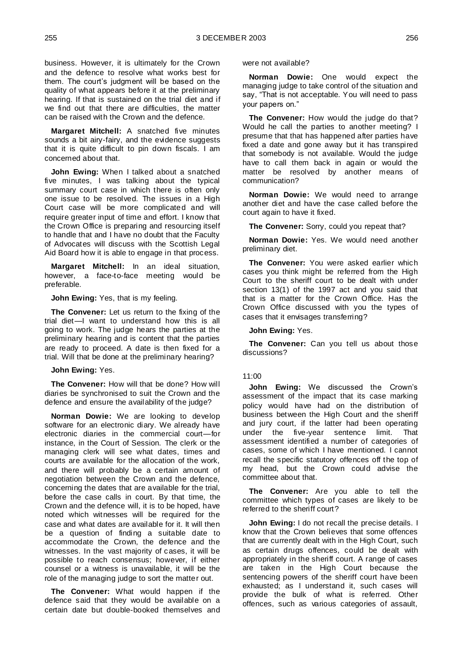business. However, it is ultimately for the Crown and the defence to resolve what works best for them. The court's judgment will be based on the quality of what appears before it at the preliminary hearing. If that is sustained on the trial diet and if we find out that there are difficulties, the matter can be raised with the Crown and the defence.

**Margaret Mitchell:** A snatched five minutes sounds a bit airy-fairy, and the evidence suggests that it is quite difficult to pin down fiscals. I am concerned about that.

**John Ewing:** When I talked about a snatched five minutes, I was talking about the typical summary court case in which there is often only one issue to be resolved. The issues in a High Court case will be more complicated and will require greater input of time and effort. I know that the Crown Office is preparing and resourcing itself to handle that and I have no doubt that the Faculty of Advocates will discuss with the Scottish Legal Aid Board how it is able to engage in that process.

**Margaret Mitchell:** In an ideal situation, however, a face-to-face meeting would be preferable.

**John Ewing:** Yes, that is my feeling.

**The Convener:** Let us return to the fixing of the trial diet—I want to understand how this is all going to work. The judge hears the parties at the preliminary hearing and is content that the parties are ready to proceed. A date is then fixed for a trial. Will that be done at the preliminary hearing?

#### **John Ewing:** Yes.

**The Convener:** How will that be done? How will diaries be synchronised to suit the Crown and the defence and ensure the availability of the judge?

**Norman Dowie:** We are looking to develop software for an electronic diary. We already have electronic diaries in the commercial court—for instance, in the Court of Session. The clerk or the managing clerk will see what dates, times and courts are available for the allocation of the work, and there will probably be a certain amount of negotiation between the Crown and the defence, concerning the dates that are available for the trial, before the case calls in court. By that time, the Crown and the defence will, it is to be hoped, have noted which witnesses will be required for the case and what dates are available for it. It will then be a question of finding a suitable date to accommodate the Crown, the defence and the witnesses. In the vast majority of cases, it will be possible to reach consensus; however, if either counsel or a witness is unavailable, it will be the role of the managing judge to sort the matter out.

**The Convener:** What would happen if the defence said that they would be available on a certain date but double-booked themselves and were not available?

**Norman Dowie:** One would expect the managing judge to take control of the situation and say, "That is not acceptable. You will need to pass your papers on."

**The Convener:** How would the judge do that? Would he call the parties to another meeting? I presume that that has happened after parties have fixed a date and gone away but it has transpired that somebody is not available. Would the judge have to call them back in again or would the matter be resolved by another means of communication?

**Norman Dowie:** We would need to arrange another diet and have the case called before the court again to have it fixed.

**The Convener:** Sorry, could you repeat that?

**Norman Dowie:** Yes. We would need another preliminary diet.

**The Convener:** You were asked earlier which cases you think might be referred from the High Court to the sheriff court to be dealt with under section 13(1) of the 1997 act and you said that that is a matter for the Crown Office. Has the Crown Office discussed with you the types of cases that it envisages transferring?

#### **John Ewing:** Yes.

**The Convener:** Can you tell us about those discussions?

#### 11:00

**John Ewing:** We discussed the Crown's assessment of the impact that its case marking policy would have had on the distribution of business between the High Court and the sheriff and jury court, if the latter had been operating under the five-year sentence limit. That assessment identified a number of categories of cases, some of which I have mentioned. I cannot recall the specific statutory offences off the top of my head, but the Crown could advise the committee about that.

**The Convener:** Are you able to tell the committee which types of cases are likely to be referred to the sheriff court?

**John Ewing:** I do not recall the precise details. I know that the Crown believes that some offences that are currently dealt with in the High Court, such as certain drugs offences, could be dealt with appropriately in the sheriff court. A range of cases are taken in the High Court because the sentencing powers of the sheriff court have been exhausted; as I understand it, such cases will provide the bulk of what is referred. Other offences, such as various categories of assault,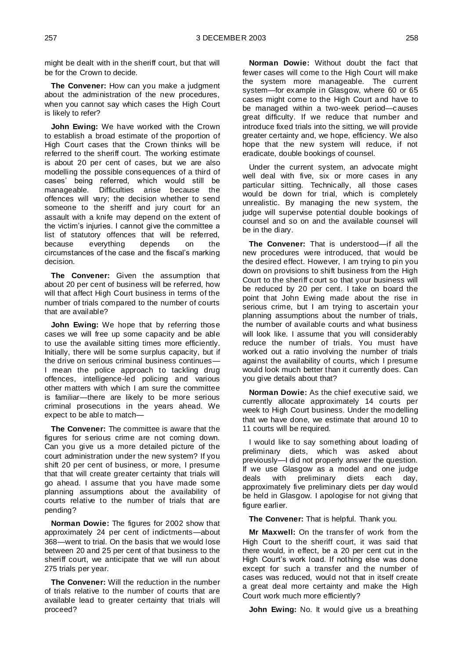might be dealt with in the sheriff court, but that will be for the Crown to decide.

**The Convener:** How can you make a judgment about the administration of the new procedures, when you cannot say which cases the High Court is likely to refer?

**John Ewing:** We have worked with the Crown to establish a broad estimate of the proportion of High Court cases that the Crown thinks will be referred to the sheriff court. The working estimate is about 20 per cent of cases, but we are also modelling the possible consequences of a third of cases' being referred, which would still be manageable. Difficulties arise because the offences will vary; the decision whether to send someone to the sheriff and jury court for an assault with a knife may depend on the extent of the victim's injuries. I cannot give the committee a list of statutory offences that will be referred, because everything depends on the circumstances of the case and the fiscal's marking decision.

**The Convener:** Given the assumption that about 20 per cent of business will be referred, how will that affect High Court business in terms of the number of trials compared to the number of courts that are available?

**John Ewing:** We hope that by referring those cases we will free up some capacity and be able to use the available sitting times more efficiently. Initially, there will be some surplus capacity, but if the drive on serious criminal business continues— I mean the police approach to tackling drug offences, intelligence-led policing and various other matters with which I am sure the committee is familiar—there are likely to be more serious criminal prosecutions in the years ahead. We expect to be able to match—

**The Convener:** The committee is aware that the figures for serious crime are not coming down. Can you give us a more detailed picture of the court administration under the new system? If you shift 20 per cent of business, or more, I presume that that will create greater certainty that trials will go ahead. I assume that you have made some planning assumptions about the availability of courts relative to the number of trials that are pending?

**Norman Dowie:** The figures for 2002 show that approximately 24 per cent of indictments—about 368—went to trial. On the basis that we would lose between 20 and 25 per cent of that business to the sheriff court, we anticipate that we will run about 275 trials per year.

**The Convener:** Will the reduction in the number of trials relative to the number of courts that are available lead to greater certainty that trials will proceed?

**Norman Dowie:** Without doubt the fact that fewer cases will come to the High Court will make the system more manageable. The current system—for example in Glasgow, where 60 or 65 cases might come to the High Court and have to be managed within a two-week period—causes great difficulty. If we reduce that number and introduce fixed trials into the sitting, we will provide greater certainty and, we hope, efficiency. We also hope that the new system will reduce, if not eradicate, double bookings of counsel.

Under the current system, an advocate might well deal with five, six or more cases in any particular sitting. Technically, all those cases would be down for trial, which is completely unrealistic. By managing the new system, the judge will supervise potential double bookings of counsel and so on and the available counsel will be in the diary.

**The Convener:** That is understood—if all the new procedures were introduced, that would be the desired effect. However, I am trying to pin you down on provisions to shift business from the High Court to the sheriff court so that your business will be reduced by 20 per cent. I take on board the point that John Ewing made about the rise in serious crime, but I am trying to ascertain your planning assumptions about the number of trials, the number of available courts and what business will look like. I assume that you will considerably reduce the number of trials. You must have worked out a ratio involving the number of trials against the availability of courts, which I presume would look much better than it currently does. Can you give details about that?

**Norman Dowie:** As the chief executive said, we currently allocate approximately 14 courts per week to High Court business. Under the modelling that we have done, we estimate that around 10 to 11 courts will be required.

I would like to say something about loading of preliminary diets, which was asked about previously—I did not properly answer the question. If we use Glasgow as a model and one judge deals with preliminary diets each day, approximately five preliminary diets per day would be held in Glasgow. I apologise for not giving that figure earlier.

**The Convener:** That is helpful. Thank you.

**Mr Maxwell:** On the transfer of work from the High Court to the sheriff court, it was said that there would, in effect, be a 20 per cent cut in the High Court's work load. If nothing else was done except for such a transfer and the number of cases was reduced, would not that in itself create a great deal more certainty and make the High Court work much more efficiently?

**John Ewing:** No. It would give us a breathing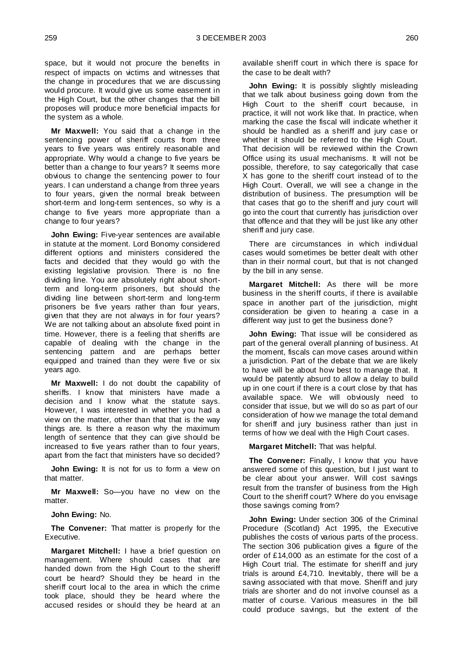space, but it would not procure the benefits in respect of impacts on victims and witnesses that the change in procedures that we are discussing would procure. It would give us some easement in the High Court, but the other changes that the bill proposes will produce more beneficial impacts for the system as a whole.

**Mr Maxwell:** You said that a change in the sentencing power of sheriff courts from three years to five years was entirely reasonable and appropriate. Why would a change to five years be better than a change to four years? It seems more obvious to change the sentencing power to four years. I can understand a change from three years to four years, given the normal break between short-term and long-term sentences, so why is a change to five years more appropriate than a change to four years?

**John Ewing:** Five-year sentences are available in statute at the moment. Lord Bonomy considered different options and ministers considered the facts and decided that they would go with the existing legislative provision. There is no fine dividing line. You are absolutely right about shortterm and long-term prisoners, but should the dividing line between short-term and long-term prisoners be five years rather than four years, given that they are not always in for four years? We are not talking about an absolute fixed point in time. However, there is a feeling that sheriffs are capable of dealing with the change in the sentencing pattern and are perhaps better equipped and trained than they were five or six years ago.

**Mr Maxwell:** I do not doubt the capability of sheriffs. I know that ministers have made a decision and I know what the statute says. However, I was interested in whether you had a view on the matter, other than that that is the way things are. Is there a reason why the maximum length of sentence that they can give should be increased to five years rather than to four years, apart from the fact that ministers have so decided?

**John Ewing:** It is not for us to form a view on that matter.

**Mr Maxwell:** So—you have no view on the matter.

**John Ewing:** No.

**The Convener:** That matter is properly for the Executive.

**Margaret Mitchell:** I have a brief question on management. Where should cases that are handed down from the High Court to the sheriff court be heard? Should they be heard in the sheriff court local to the area in which the crime took place, should they be heard where the accused resides or should they be heard at an

available sheriff court in which there is space for the case to be dealt with?

**John Ewing:** It is possibly slightly misleading that we talk about business going down from the High Court to the sheriff court because, in practice, it will not work like that. In practice, when marking the case the fiscal will indicate whether it should be handled as a sheriff and jury case or whether it should be referred to the High Court. That decision will be reviewed within the Crown Office using its usual mechanisms. It will not be possible, therefore, to say categorically that case X has gone to the sheriff court instead of to the High Court. Overall, we will see a change in the distribution of business. The presumption will be that cases that go to the sheriff and jury court will go into the court that currently has jurisdiction over that offence and that they will be just like any other sheriff and jury case.

There are circumstances in which individual cases would sometimes be better dealt with other than in their normal court, but that is not changed by the bill in any sense.

**Margaret Mitchell:** As there will be more business in the sheriff courts, if there is available space in another part of the jurisdiction, might consideration be given to hearing a case in a different way just to get the business done?

**John Ewing:** That issue will be considered as part of the general overall planning of business. At the moment, fiscals can move cases around within a jurisdiction. Part of the debate that we are likely to have will be about how best to manage that. It would be patently absurd to allow a delay to build up in one court if there is a court close by that has available space. We will obviously need to consider that issue, but we will do so as part of our consideration of how we manage the total demand for sheriff and jury business rather than just in terms of how we deal with the High Court cases.

**Margaret Mitchell:** That was helpful.

**The Convener:** Finally, I know that you have answered some of this question, but I just want to be clear about your answer. Will cost savings result from the transfer of business from the High Court to the sheriff court? Where do you envisage those savings coming from?

**John Ewing:** Under section 306 of the Criminal Procedure (Scotland) Act 1995, the Executive publishes the costs of various parts of the process. The section 306 publication gives a figure of the order of £14,000 as an estimate for the cost of a High Court trial. The estimate for sheriff and jury trials is around £4,710. Inevitably, there will be a saving associated with that move. Sheriff and jury trials are shorter and do not involve counsel as a matter of course. Various measures in the bill could produce savings, but the extent of the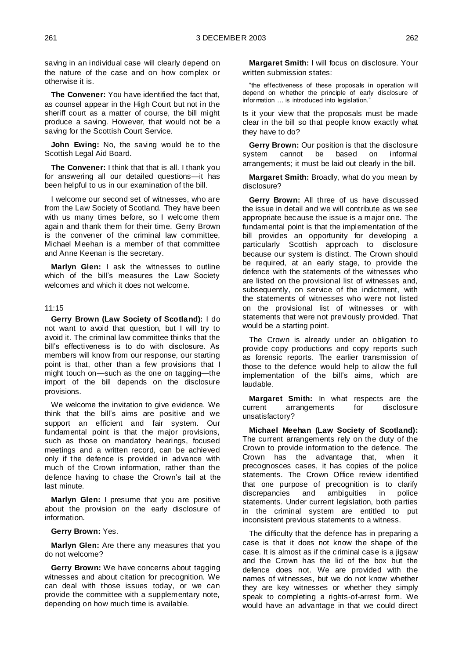saving in an individual case will clearly depend on the nature of the case and on how complex or otherwise it is.

**The Convener:** You have identified the fact that, as counsel appear in the High Court but not in the sheriff court as a matter of course, the bill might produce a saving. However, that would not be a saving for the Scottish Court Service.

**John Ewing:** No, the saving would be to the Scottish Legal Aid Board.

**The Convener:** I think that that is all. I thank you for answering all our detailed questions—it has been helpful to us in our examination of the bill.

I welcome our second set of witnesses, who are from the Law Society of Scotland. They have been with us many times before, so I welcome them again and thank them for their time. Gerry Brown is the convener of the criminal law committee, Michael Meehan is a member of that committee and Anne Keenan is the secretary.

**Marlyn Glen:** I ask the witnesses to outline which of the bill's measures the Law Society welcomes and which it does not welcome.

#### 11:15

**Gerry Brown (Law Society of Scotland):** I do not want to avoid that question, but I will try to avoid it. The criminal law committee thinks that the bill's effectiveness is to do with disclosure. As members will know from our response, our starting point is that, other than a few provisions that I might touch on—such as the one on tagging—the import of the bill depends on the disclosure provisions.

We welcome the invitation to give evidence. We think that the bill's aims are positive and we support an efficient and fair system. Our fundamental point is that the major provisions, such as those on mandatory hearings, focused meetings and a written record, can be achieved only if the defence is provided in advance with much of the Crown information, rather than the defence having to chase the Crown's tail at the last minute.

**Marlyn Glen:** I presume that you are positive about the provision on the early disclosure of information.

**Gerry Brown:** Yes.

**Marlyn Glen:** Are there any measures that you do not welcome?

**Gerry Brown:** We have concerns about tagging witnesses and about citation for precognition. We can deal with those issues today, or we can provide the committee with a supplementary note, depending on how much time is available.

**Margaret Smith:** I will focus on disclosure. Your written submission states:

"the effectiveness of these proposals in operation w ill depend on w hether the principle of early disclosure of information … is introduced into legislation."

Is it your view that the proposals must be made clear in the bill so that people know exactly what they have to do?

**Gerry Brown:** Our position is that the disclosure system cannot be based on informal arrangements; it must be laid out clearly in the bill.

**Margaret Smith:** Broadly, what do you mean by disclosure?

**Gerry Brown:** All three of us have discussed the issue in detail and we will contribute as we see appropriate because the issue is a major one. The fundamental point is that the implementation of the bill provides an opportunity for developing a particularly Scottish approach to disclosure because our system is distinct. The Crown should be required, at an early stage, to provide the defence with the statements of the witnesses who are listed on the provisional list of witnesses and, subsequently, on service of the indictment, with the statements of witnesses who were not listed on the provisional list of witnesses or with statements that were not previously provided. That would be a starting point.

The Crown is already under an obligation to provide copy productions and copy reports such as forensic reports. The earlier transmission of those to the defence would help to allow the full implementation of the bill's aims, which are laudable.

**Margaret Smith:** In what respects are the current arrangements for disclosure unsatisfactory?

**Michael Meehan (Law Society of Scotland):**  The current arrangements rely on the duty of the Crown to provide information to the defence. The Crown has the advantage that, when it precognosces cases, it has copies of the police statements. The Crown Office review identified that one purpose of precognition is to clarify discrepancies and ambiguities in police statements. Under current legislation, both parties in the criminal system are entitled to put inconsistent previous statements to a witness.

The difficulty that the defence has in preparing a case is that it does not know the shape of the case. It is almost as if the criminal case is a jigsaw and the Crown has the lid of the box but the defence does not. We are provided with the names of witnesses, but we do not know whether they are key witnesses or whether they simply speak to completing a rights-of-arrest form. We would have an advantage in that we could direct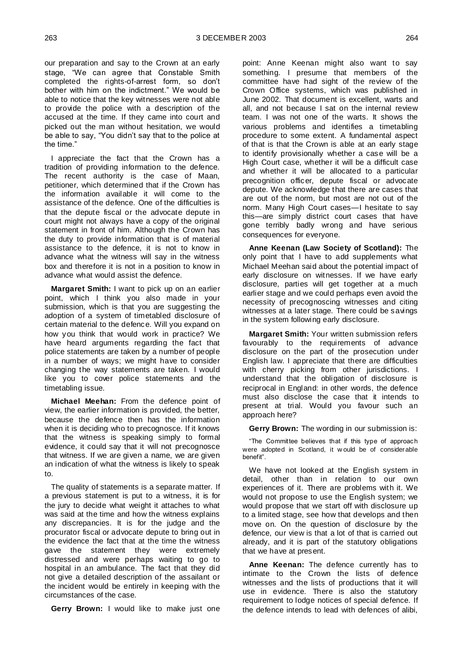our preparation and say to the Crown at an early stage, "We can agree that Constable Smith completed the rights-of-arrest form, so don't bother with him on the indictment." We would be able to notice that the key witnesses were not able to provide the police with a description of the accused at the time. If they came into court and picked out the man without hesitation, we would be able to say, "You didn't say that to the police at the time."

I appreciate the fact that the Crown has a tradition of providing information to the defence. The recent authority is the case of Maan, petitioner, which determined that if the Crown has the information available it will come to the assistance of the defence. One of the difficulties is that the depute fiscal or the advocate depute in court might not always have a copy of the original statement in front of him. Although the Crown has the duty to provide information that is of material assistance to the defence, it is not to know in advance what the witness will say in the witness box and therefore it is not in a position to know in advance what would assist the defence.

**Margaret Smith:** I want to pick up on an earlier point, which I think you also made in your submission, which is that you are suggesting the adoption of a system of timetabled disclosure of certain material to the defence. Will you expand on how you think that would work in practice? We have heard arguments regarding the fact that police statements are taken by a number of people in a number of ways; we might have to consider changing the way statements are taken. I would like you to cover police statements and the timetabling issue.

**Michael Meehan:** From the defence point of view, the earlier information is provided, the better, because the defence then has the information when it is deciding who to precognosce. If it knows that the witness is speaking simply to formal evidence, it could say that it will not precognosce that witness. If we are given a name, we are given an indication of what the witness is likely to speak to.

The quality of statements is a separate matter. If a previous statement is put to a witness, it is for the jury to decide what weight it attaches to what was said at the time and how the witness explains any discrepancies. It is for the judge and the procurator fiscal or advocate depute to bring out in the evidence the fact that at the time the witness gave the statement they were extremely distressed and were perhaps waiting to go to hospital in an ambulance. The fact that they did not give a detailed description of the assailant or the incident would be entirely in keeping with the circumstances of the case.

**Gerry Brown:** I would like to make just one

point: Anne Keenan might also want to say something. I presume that members of the committee have had sight of the review of the Crown Office systems, which was published in June 2002. That document is excellent, warts and all, and not because I sat on the internal review team. I was not one of the warts. It shows the various problems and identifies a timetabling procedure to some extent. A fundamental aspect of that is that the Crown is able at an early stage to identify provisionally whether a case will be a High Court case, whether it will be a difficult case and whether it will be allocated to a particular precognition officer, depute fiscal or advocate depute. We acknowledge that there are cases that are out of the norm, but most are not out of the norm. Many High Court cases—I hesitate to say this—are simply district court cases that have gone terribly badly wrong and have serious consequences for everyone.

**Anne Keenan (Law Society of Scotland):** The only point that I have to add supplements what Michael Meehan said about the potential impact of early disclosure on witnesses. If we have early disclosure, parties will get together at a much earlier stage and we could perhaps even avoid the necessity of precognoscing witnesses and citing witnesses at a later stage. There could be savings in the system following early disclosure.

**Margaret Smith:** Your written submission refers favourably to the requirements of advance disclosure on the part of the prosecution under English law. I appreciate that there are difficulties with cherry picking from other jurisdictions. I understand that the obligation of disclosure is reciprocal in England: in other words, the defence must also disclose the case that it intends to present at trial. Would you favour such an approach here?

**Gerry Brown:** The wording in our submission is:

"The Committee believes that if this type of approach were adopted in Scotland, it w ould be of considerable benefit".

We have not looked at the English system in detail, other than in relation to our own experiences of it. There are problems with it. We would not propose to use the English system; we would propose that we start off with disclosure up to a limited stage, see how that develops and then move on. On the question of disclosure by the defence, our view is that a lot of that is carried out already, and it is part of the statutory obligations that we have at present.

**Anne Keenan:** The defence currently has to intimate to the Crown the lists of defence witnesses and the lists of productions that it will use in evidence. There is also the statutory requirement to lodge notices of special defence. If the defence intends to lead with defences of alibi,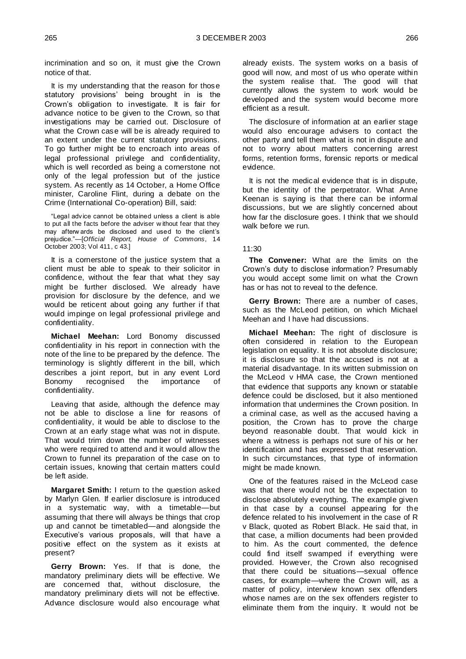incrimination and so on, it must give the Crown notice of that.

It is my understanding that the reason for those statutory provisions' being brought in is the Crown's obligation to investigate. It is fair for advance notice to be given to the Crown, so that investigations may be carried out. Disclosure of what the Crown case will be is already required to an extent under the current statutory provisions. To go further might be to encroach into areas of legal professional privilege and confidentiality, which is well recorded as being a cornerstone not only of the legal profession but of the justice system. As recently as 14 October, a Home Office minister, Caroline Flint, during a debate on the Crime (International Co-operation) Bill, said:

"Legal advice cannot be obtained unless a client is able to put all the facts before the adviser w ithout fear that they may afterw ards be disclosed and used to the client's prejudice."—[*Official Report, House of Commons*, 14 October 2003; Vol 411, c 43.]

It is a cornerstone of the justice system that a client must be able to speak to their solicitor in confidence, without the fear that what they say might be further disclosed. We already have provision for disclosure by the defence, and we would be reticent about going any further if that would impinge on legal professional privilege and confidentiality.

**Michael Meehan:** Lord Bonomy discussed confidentiality in his report in connection with the note of the line to be prepared by the defence. The terminology is slightly different in the bill, which describes a joint report, but in any event Lord Bonomy recognised the importance of confidentiality.

Leaving that aside, although the defence may not be able to disclose a line for reasons of confidentiality, it would be able to disclose to the Crown at an early stage what was not in dispute. That would trim down the number of witnesses who were required to attend and it would allow the Crown to funnel its preparation of the case on to certain issues, knowing that certain matters could be left aside.

**Margaret Smith:** I return to the question asked by Marlyn Glen. If earlier disclosure is introduced in a systematic way, with a timetable—but assuming that there will always be things that crop up and cannot be timetabled—and alongside the Executive's various proposals, will that have a positive effect on the system as it exists at present?

**Gerry Brown:** Yes. If that is done, the mandatory preliminary diets will be effective. We are concerned that, without disclosure, the mandatory preliminary diets will not be effective. Advance disclosure would also encourage what already exists. The system works on a basis of good will now, and most of us who operate within the system realise that. The good will that currently allows the system to work would be developed and the system would become more efficient as a result.

The disclosure of information at an earlier stage would also encourage advisers to contact the other party and tell them what is not in dispute and not to worry about matters concerning arrest forms, retention forms, forensic reports or medical evidence.

It is not the medical evidence that is in dispute, but the identity of the perpetrator. What Anne Keenan is saying is that there can be informal discussions, but we are slightly concerned about how far the disclosure goes. I think that we should walk before we run.

#### 11:30

**The Convener:** What are the limits on the Crown's duty to disclose information? Presumably you would accept some limit on what the Crown has or has not to reveal to the defence.

**Gerry Brown:** There are a number of cases, such as the McLeod petition, on which Michael Meehan and I have had discussions.

**Michael Meehan:** The right of disclosure is often considered in relation to the European legislation on equality. It is not absolute disclosure; it is disclosure so that the accused is not at a material disadvantage. In its written submission on the McLeod v HMA case, the Crown mentioned that evidence that supports any known or statable defence could be disclosed, but it also mentioned information that undermines the Crown position. In a criminal case, as well as the accused having a position, the Crown has to prove the charge beyond reasonable doubt. That would kick in where a witness is perhaps not sure of his or her identification and has expressed that reservation. In such circumstances, that type of information might be made known.

One of the features raised in the McLeod case was that there would not be the expectation to disclose absolutely everything. The example given in that case by a counsel appearing for the defence related to his involvement in the case of R v Black, quoted as Robert Black. He said that, in that case, a million documents had been provided to him. As the court commented, the defence could find itself swamped if everything were provided. However, the Crown also recognised that there could be situations—sexual offence cases, for example—where the Crown will, as a matter of policy, interview known sex offenders whose names are on the sex offenders register to eliminate them from the inquiry. It would not be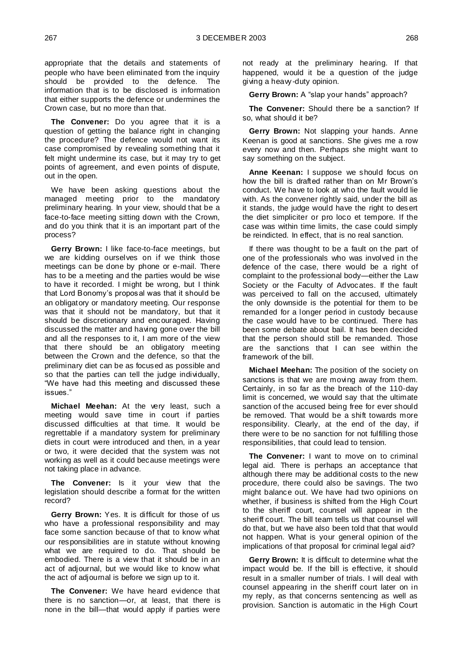appropriate that the details and statements of people who have been eliminated from the inquiry should be provided to the defence. The information that is to be disclosed is information that either supports the defence or undermines the Crown case, but no more than that.

**The Convener:** Do you agree that it is a question of getting the balance right in changing the procedure? The defence would not want its case compromised by revealing something that it felt might undermine its case, but it may try to get points of agreement, and even points of dispute, out in the open.

We have been asking questions about the managed meeting prior to the mandatory preliminary hearing. In your view, should that be a face-to-face meeting sitting down with the Crown, and do you think that it is an important part of the process?

**Gerry Brown:** I like face-to-face meetings, but we are kidding ourselves on if we think those meetings can be done by phone or e-mail. There has to be a meeting and the parties would be wise to have it recorded. I might be wrong, but I think that Lord Bonomy's proposal was that it should be an obligatory or mandatory meeting. Our response was that it should not be mandatory, but that it should be discretionary and encouraged. Having discussed the matter and having gone over the bill and all the responses to it, I am more of the view that there should be an obligatory meeting between the Crown and the defence, so that the preliminary diet can be as focused as possible and so that the parties can tell the judge individually, "We have had this meeting and discussed these issues."

**Michael Meehan:** At the very least, such a meeting would save time in court if parties discussed difficulties at that time. It would be regrettable if a mandatory system for preliminary diets in court were introduced and then, in a year or two, it were decided that the system was not working as well as it could because meetings were not taking place in advance.

The Convener: Is it your view that the legislation should describe a format for the written record?

**Gerry Brown:** Yes. It is difficult for those of us who have a professional responsibility and may face some sanction because of that to know what our responsibilities are in statute without knowing what we are required to do. That should be embodied. There is a view that it should be in an act of adjournal, but we would like to know what the act of adjournal is before we sign up to it.

**The Convener:** We have heard evidence that there is no sanction—or, at least, that there is none in the bill—that would apply if parties were

not ready at the preliminary hearing. If that happened, would it be a question of the judge giving a heavy -duty opinion.

**Gerry Brown:** A "slap your hands" approach?

**The Convener:** Should there be a sanction? If so, what should it be?

**Gerry Brown:** Not slapping your hands. Anne Keenan is good at sanctions. She gives me a row every now and then. Perhaps she might want to say something on the subject.

**Anne Keenan:** I suppose we should focus on how the bill is drafted rather than on Mr Brown's conduct. We have to look at who the fault would lie with. As the convener rightly said, under the bill as it stands, the judge would have the right to desert the diet simpliciter or pro loco et tempore. If the case was within time limits, the case could simply be reindicted. In effect, that is no real sanction.

If there was thought to be a fault on the part of one of the professionals who was involved in the defence of the case, there would be a right of complaint to the professional body—either the Law Society or the Faculty of Advocates. If the fault was perceived to fall on the accused, ultimately the only downside is the potential for them to be remanded for a longer period in custody because the case would have to be continued. There has been some debate about bail. It has been decided that the person should still be remanded. Those are the sanctions that I can see within the framework of the bill.

**Michael Meehan:** The position of the society on sanctions is that we are moving away from them. Certainly, in so far as the breach of the 110-day limit is concerned, we would say that the ultimate sanction of the accused being free for ever should be removed. That would be a shift towards more responsibility. Clearly, at the end of the day, if there were to be no sanction for not fulfilling those responsibilities, that could lead to tension.

**The Convener:** I want to move on to criminal legal aid. There is perhaps an acceptance that although there may be additional costs to the new procedure, there could also be savings. The two might balance out. We have had two opinions on whether, if business is shifted from the High Court to the sheriff court, counsel will appear in the sheriff court. The bill team tells us that counsel will do that, but we have also been told that that would not happen. What is your general opinion of the implications of that proposal for criminal legal aid?

**Gerry Brown:** It is difficult to determine what the impact would be. If the bill is effective, it should result in a smaller number of trials. I will deal with counsel appearing in the sheriff court later on in my reply, as that concerns sentencing as well as provision. Sanction is automatic in the High Court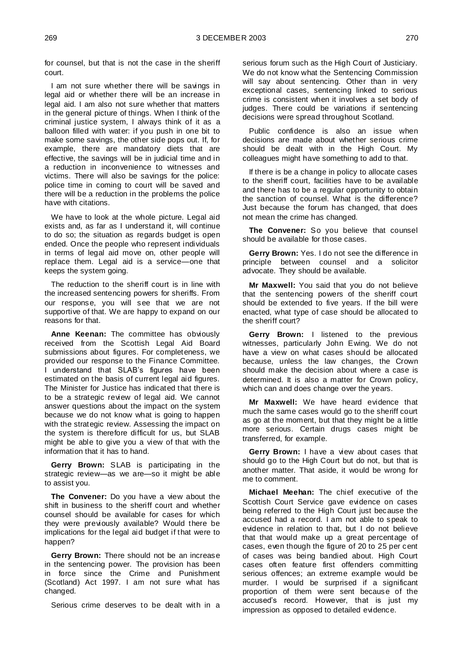for counsel, but that is not the case in the sheriff court.

I am not sure whether there will be savings in legal aid or whether there will be an increase in legal aid. I am also not sure whether that matters in the general picture of things. When I think of the criminal justice system, I always think of it as a balloon filled with water: if you push in one bit to make some savings, the other side pops out. If, for example, there are mandatory diets that are effective, the savings will be in judicial time and in a reduction in inconvenience to witnesses and victims. There will also be savings for the police: police time in coming to court will be saved and there will be a reduction in the problems the police have with citations.

We have to look at the whole picture. Legal aid exists and, as far as I understand it, will continue to do so; the situation as regards budget is open ended. Once the people who represent individuals in terms of legal aid move on, other people will replace them. Legal aid is a service—one that keeps the system going.

The reduction to the sheriff court is in line with the increased sentencing powers for sheriffs. From our response, you will see that we are not supportive of that. We are happy to expand on our reasons for that.

**Anne Keenan:** The committee has obviously received from the Scottish Legal Aid Board submissions about figures. For completeness, we provided our response to the Finance Committee. I understand that SLAB's figures have been estimated on the basis of current legal aid figures. The Minister for Justice has indicated that there is to be a strategic review of legal aid. We cannot answer questions about the impact on the system because we do not know what is going to happen with the strategic review. Assessing the impact on the system is therefore difficult for us, but SLAB might be able to give you a view of that with the information that it has to hand.

**Gerry Brown:** SLAB is participating in the strategic review—as we are—so it might be able to assist you.

**The Convener:** Do you have a view about the shift in business to the sheriff court and whether counsel should be available for cases for which they were previously available? Would there be implications for the legal aid budget if that were to happen?

**Gerry Brown:** There should not be an increase in the sentencing power. The provision has been in force since the Crime and Punishment (Scotland) Act 1997. I am not sure what has changed.

Serious crime deserves to be dealt with in a

serious forum such as the High Court of Justiciary. We do not know what the Sentencing Commission will say about sentencing. Other than in very exceptional cases, sentencing linked to serious crime is consistent when it involves a set body of judges. There could be variations if sentencing decisions were spread throughout Scotland.

Public confidence is also an issue when decisions are made about whether serious crime should be dealt with in the High Court. My colleagues might have something to add to that.

If there is be a change in policy to allocate cases to the sheriff court, facilities have to be available and there has to be a regular opportunity to obtain the sanction of counsel. What is the difference? Just because the forum has changed, that does not mean the crime has changed.

**The Convener:** So you believe that counsel should be available for those cases.

**Gerry Brown:** Yes. I do not see the difference in principle between counsel and a solicitor advocate. They should be available.

**Mr Maxwell:** You said that you do not believe that the sentencing powers of the sheriff court should be extended to five years. If the bill were enacted, what type of case should be allocated to the sheriff court?

**Gerry Brown:** I listened to the previous witnesses, particularly John Ewing. We do not have a view on what cases should be allocated because, unless the law changes, the Crown should make the decision about where a case is determined. It is also a matter for Crown policy, which can and does change over the years.

**Mr Maxwell:** We have heard evidence that much the same cases would go to the sheriff court as go at the moment, but that they might be a little more serious. Certain drugs cases might be transferred, for example.

**Gerry Brown:** I have a view about cases that should go to the High Court but do not, but that is another matter. That aside, it would be wrong for me to comment.

**Michael Meehan:** The chief executive of the Scottish Court Service gave evidence on cases being referred to the High Court just because the accused had a record. I am not able to speak to evidence in relation to that, but I do not believe that that would make up a great percentage of cases, even though the figure of 20 to 25 per cent of cases was being bandied about. High Court cases often feature first offenders committing serious offences; an extreme example would be murder. I would be surprised if a significant proportion of them were sent because of the accused's record. However, that is just my impression as opposed to detailed evidence.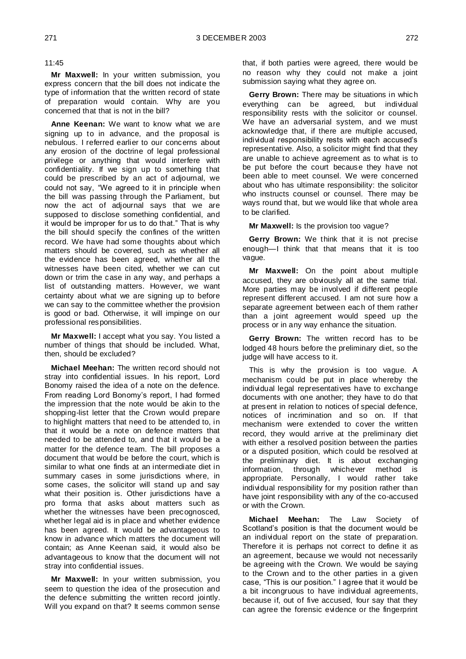11:45

**Mr Maxwell:** In your written submission, you express concern that the bill does not indicate the type of information that the written record of state of preparation would contain. Why are you concerned that that is not in the bill?

**Anne Keenan:** We want to know what we are signing up to in advance, and the proposal is nebulous. I referred earlier to our concerns about any erosion of the doctrine of legal professional privilege or anything that would interfere with confidentiality. If we sign up to something that could be prescribed by an act of adjournal, we could not say, "We agreed to it in principle when the bill was passing through the Parliament, but now the act of adjournal says that we are supposed to disclose something confidential, and it would be improper for us to do that." That is why the bill should specify the confines of the written record. We have had some thoughts about which matters should be covered, such as whether all the evidence has been agreed, whether all the witnesses have been cited, whether we can cut down or trim the case in any way, and perhaps a list of outstanding matters. However, we want certainty about what we are signing up to before we can say to the committee whether the provision is good or bad. Otherwise, it will impinge on our professional responsibilities.

**Mr Maxwell:** I accept what you say. You listed a number of things that should be included. What, then, should be excluded?

**Michael Meehan:** The written record should not stray into confidential issues. In his report, Lord Bonomy raised the idea of a note on the defence. From reading Lord Bonomy's report, I had formed the impression that the note would be akin to the shopping-list letter that the Crown would prepare to highlight matters that need to be attended to, in that it would be a note on defence matters that needed to be attended to, and that it would be a matter for the defence team. The bill proposes a document that would be before the court, which is similar to what one finds at an intermediate diet in summary cases in some jurisdictions where, in some cases, the solicitor will stand up and say what their position is. Other jurisdictions have a pro forma that asks about matters such as whether the witnesses have been precognosced, whether legal aid is in place and whether evidence has been agreed. It would be advantageous to know in advance which matters the document will contain; as Anne Keenan said, it would also be advantageous to know that the document will not stray into confidential issues.

**Mr Maxwell:** In your written submission, you seem to question the idea of the prosecution and the defence submitting the written record jointly. Will you expand on that? It seems common sense

that, if both parties were agreed, there would be no reason why they could not make a joint submission saying what they agree on.

**Gerry Brown:** There may be situations in which everything can be agreed, but individual responsibility rests with the solicitor or counsel. We have an adversarial system, and we must acknowledge that, if there are multiple accused, individual responsibility rests with each accused's representative. Also, a solicitor might find that they are unable to achieve agreement as to what is to be put before the court because they have not been able to meet counsel. We were concerned about who has ultimate responsibility: the solicitor who instructs counsel or counsel. There may be ways round that, but we would like that whole area to be clarified.

**Mr Maxwell:** Is the provision too vague?

**Gerry Brown:** We think that it is not precise enough—I think that that means that it is too vague.

**Mr Maxwell:** On the point about multiple accused, they are obviously all at the same trial. More parties may be involved if different people represent different accused. I am not sure how a separate agreement between each of them rather than a joint agreement would speed up the process or in any way enhance the situation.

**Gerry Brown:** The written record has to be lodged 48 hours before the preliminary diet, so the judge will have access to it.

This is why the provision is too vague. A mechanism could be put in place whereby the individual legal representatives have to exchange documents with one another; they have to do that at present in relation to notices of special defence, notices of incrimination and so on. If that mechanism were extended to cover the written record, they would arrive at the preliminary diet with either a resolved position between the parties or a disputed position, which could be resolved at the preliminary diet. It is about exchanging information, through whichever method is appropriate. Personally, I would rather take individual responsibility for my position rather than have joint responsibility with any of the co-accused or with the Crown.

**Michael Meehan:** The Law Society of Scotland's position is that the document would be an individual report on the state of preparation. Therefore it is perhaps not correct to define it as an agreement, because we would not necessarily be agreeing with the Crown. We would be saying to the Crown and to the other parties in a given case, "This is our position." I agree that it would be a bit incongruous to have individual agreements, because if, out of five accused, four say that they can agree the forensic evidence or the fingerprint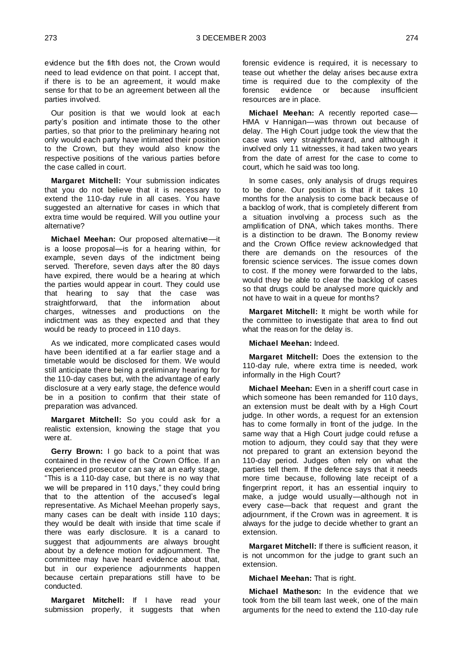evidence but the fifth does not, the Crown would need to lead evidence on that point. I accept that, if there is to be an agreement, it would make sense for that to be an agreement between all the parties involved.

Our position is that we would look at each party's position and intimate those to the other parties, so that prior to the preliminary hearing not only would each party have intimated their position to the Crown, but they would also know the respective positions of the various parties before the case called in court.

**Margaret Mitchell:** Your submission indicates that you do not believe that it is necessary to extend the 110-day rule in all cases. You have suggested an alternative for cases in which that extra time would be required. Will you outline your alternative?

**Michael Meehan:** Our proposed alternative—it is a loose proposal—is for a hearing within, for example, seven days of the indictment being served. Therefore, seven days after the 80 days have expired, there would be a hearing at which the parties would appear in court. They could use that hearing to say that the case was straightforward, that the information about charges, witnesses and productions on the indictment was as they expected and that they would be ready to proceed in 110 days.

As we indicated, more complicated cases would have been identified at a far earlier stage and a timetable would be disclosed for them. We would still anticipate there being a preliminary hearing for the 110-day cases but, with the advantage of early disclosure at a very early stage, the defence would be in a position to confirm that their state of preparation was advanced.

**Margaret Mitchell:** So you could ask for a realistic extension, knowing the stage that you were at.

**Gerry Brown:** I go back to a point that was contained in the review of the Crown Office. If an experienced prosecutor can say at an early stage, "This is a 110-day case, but there is no way that we will be prepared in 110 days," they could bring that to the attention of the accused's legal representative. As Michael Meehan properly says, many cases can be dealt with inside 110 days; they would be dealt with inside that time scale if there was early disclosure. It is a canard to suggest that adjournments are always brought about by a defence motion for adjournment. The committee may have heard evidence about that, but in our experience adjournments happen because certain preparations still have to be conducted.

**Margaret Mitchell:** If I have read your submission properly, it suggests that when

forensic evidence is required, it is necessary to tease out whether the delay arises because extra time is required due to the complexity of the<br>forensic evidence or because insufficient forensic evidence or resources are in place.

**Michael Meehan:** A recently reported case— HMA v Hannigan—was thrown out because of delay. The High Court judge took the view that the case was very straightforward, and although it involved only 11 witnesses, it had taken two years from the date of arrest for the case to come to court, which he said was too long.

In some cases, only analysis of drugs requires to be done. Our position is that if it takes 10 months for the analysis to come back because of a backlog of work, that is completely different from a situation involving a process such as the amplification of DNA, which takes months. There is a distinction to be drawn. The Bonomy review and the Crown Office review acknowledged that there are demands on the resources of the forensic science services. The issue comes down to cost. If the money were forwarded to the labs, would they be able to clear the backlog of cases so that drugs could be analysed more quickly and not have to wait in a queue for months?

**Margaret Mitchell:** It might be worth while for the committee to investigate that area to find out what the reason for the delay is.

**Michael Meehan:** Indeed.

**Margaret Mitchell:** Does the extension to the 110-day rule, where extra time is needed, work informally in the High Court?

**Michael Meehan:** Even in a sheriff court case in which someone has been remanded for 110 days, an extension must be dealt with by a High Court judge. In other words, a request for an extension has to come formally in front of the judge. In the same way that a High Court judge could refuse a motion to adjourn, they could say that they were not prepared to grant an extension beyond the 110-day period. Judges often rely on what the parties tell them. If the defence says that it needs more time because, following late receipt of a fingerprint report, it has an essential inquiry to make, a judge would usually—although not in every case—back that request and grant the adjournment, if the Crown was in agreement. It is always for the judge to decide whether to grant an extension.

**Margaret Mitchell:** If there is sufficient reason, it is not uncommon for the judge to grant such an extension.

**Michael Meehan:** That is right.

**Michael Matheson:** In the evidence that we took from the bill team last week, one of the main arguments for the need to extend the 110-day rule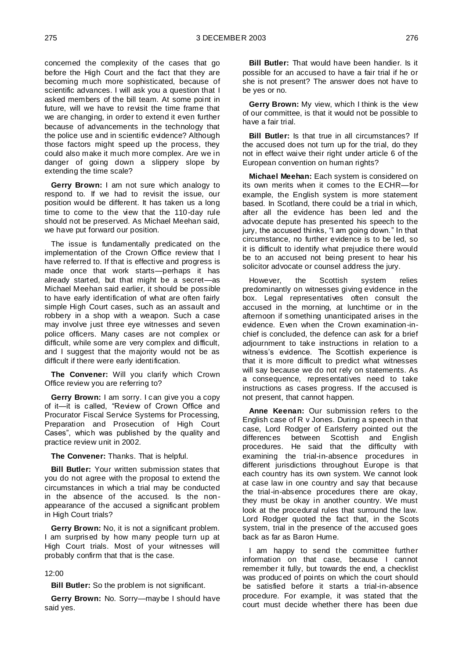concerned the complexity of the cases that go before the High Court and the fact that they are becoming much more sophisticated, because of scientific advances. I will ask you a question that I asked members of the bill team. At some point in future, will we have to revisit the time frame that we are changing, in order to extend it even further because of advancements in the technology that the police use and in scientific evidence? Although those factors might speed up the process, they could also make it much more complex. Are we in danger of going down a slippery slope by extending the time scale?

**Gerry Brown:** I am not sure which analogy to respond to. If we had to revisit the issue, our position would be different. It has taken us a long time to come to the view that the 110-day rule should not be preserved. As Michael Meehan said, we have put forward our position.

The issue is fundamentally predicated on the implementation of the Crown Office review that I have referred to. If that is effective and progress is made once that work starts—perhaps it has already started, but that might be a secret—as Michael Meehan said earlier, it should be possible to have early identification of what are often fairly simple High Court cases, such as an assault and robbery in a shop with a weapon. Such a case may involve just three eye witnesses and seven police officers. Many cases are not complex or difficult, while some are very complex and difficult, and I suggest that the majority would not be as difficult if there were early identification.

**The Convener:** Will you clarify which Crown Office review you are referring to?

**Gerry Brown:** I am sorry. I can give you a copy of it—it is called, "Review of Crown Office and Procurator Fiscal Service Systems for Processing, Preparation and Prosecution of High Court Cases", which was published by the quality and practice review unit in 2002.

**The Convener:** Thanks. That is helpful.

**Bill Butler:** Your written submission states that you do not agree with the proposal to extend the circumstances in which a trial may be conducted in the absence of the accused. Is the nonappearance of the accused a significant problem in High Court trials?

**Gerry Brown:** No, it is not a significant problem. I am surprised by how many people turn up at High Court trials. Most of your witnesses will probably confirm that that is the case.

#### 12:00

**Bill Butler:** So the problem is not significant.

**Gerry Brown:** No. Sorry—maybe I should have said yes.

**Bill Butler:** That would have been handier. Is it possible for an accused to have a fair trial if he or she is not present? The answer does not have to be yes or no.

**Gerry Brown:** My view, which I think is the view of our committee, is that it would not be possible to have a fair trial.

**Bill Butler:** Is that true in all circumstances? If the accused does not turn up for the trial, do they not in effect waive their right under article 6 of the European convention on human rights?

**Michael Meehan:** Each system is considered on its own merits when it comes to the ECHR—for example, the English system is more statement based. In Scotland, there could be a trial in which, after all the evidence has been led and the advocate depute has presented his speech to the jury, the accused thinks, "I am going down." In that circumstance, no further evidence is to be led, so it is difficult to identify what prejudice there would be to an accused not being present to hear his solicitor advocate or counsel address the jury.

However, the Scottish system relies predominantly on witnesses giving evidence in the box. Legal representatives often consult the accused in the morning, at lunchtime or in the afternoon if something unanticipated arises in the evidence. Even when the Crown examination-inchief is concluded, the defence can ask for a brief adjournment to take instructions in relation to a witness's evidence. The Scottish experience is that it is more difficult to predict what witnesses will say because we do not rely on statements. As a consequence, representatives need to take instructions as cases progress. If the accused is not present, that cannot happen.

**Anne Keenan:** Our submission refers to the English case of R v Jones. During a speech in that case, Lord Rodger of Earlsferry pointed out the differences between Scottish and English procedures. He said that the difficulty with examining the trial-in-absence procedures in different jurisdictions throughout Europe is that each country has its own system. We cannot look at case law in one country and say that because the trial-in-absence procedures there are okay, they must be okay in another country. We must look at the procedural rules that surround the law. Lord Rodger quoted the fact that, in the Scots system, trial in the presence of the accused goes back as far as Baron Hume.

I am happy to send the committee further information on that case, because I cannot remember it fully, but towards the end, a checklist was produced of points on which the court should be satisfied before it starts a trial-in-absence procedure. For example, it was stated that the court must decide whether there has been due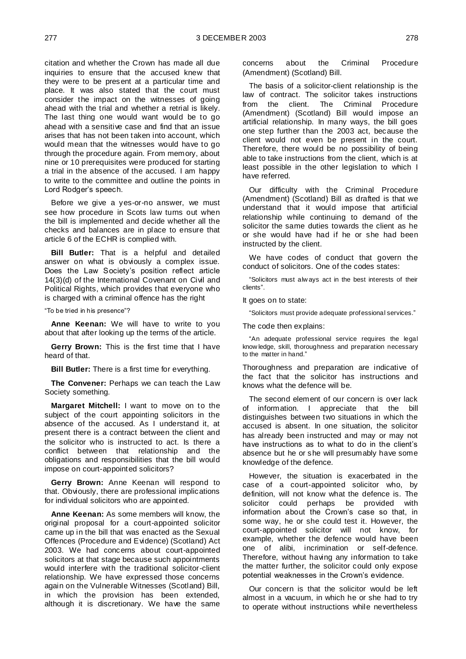citation and whether the Crown has made all due inquiries to ensure that the accused knew that they were to be present at a particular time and place. It was also stated that the court must consider the impact on the witnesses of going ahead with the trial and whether a retrial is likely. The last thing one would want would be to go ahead with a sensitive case and find that an issue arises that has not been taken into account, which would mean that the witnesses would have to go through the procedure again. From memory, about nine or 10 prerequisites were produced for starting a trial in the absence of the accused. I am happy to write to the committee and outline the points in Lord Rodger's speech.

Before we give a yes-or-no answer, we must see how procedure in Scots law turns out when the bill is implemented and decide whether all the checks and balances are in place to ensure that article 6 of the ECHR is complied with.

**Bill Butler:** That is a helpful and detailed answer on what is obviously a complex issue. Does the Law Society's position reflect article 14(3)(d) of the International Covenant on Civil and Political Rights, which provides that everyone who is charged with a criminal offence has the right

"To be tried in his presence"?

**Anne Keenan:** We will have to write to you about that after looking up the terms of the article.

**Gerry Brown:** This is the first time that I have heard of that.

**Bill Butler:** There is a first time for everything.

**The Convener:** Perhaps we can teach the Law Society something.

**Margaret Mitchell:** I want to move on to the subject of the court appointing solicitors in the absence of the accused. As I understand it, at present there is a contract between the client and the solicitor who is instructed to act. Is there a conflict between that relationship and the obligations and responsibilities that the bill would impose on court-appointed solicitors?

**Gerry Brown:** Anne Keenan will respond to that. Obviously, there are professional implications for individual solicitors who are appointed.

**Anne Keenan:** As some members will know, the original proposal for a court-appointed solicitor came up in the bill that was enacted as the Sexual Offences (Procedure and Evidence) (Scotland) Act 2003. We had concerns about court-appointed solicitors at that stage because such appointments would interfere with the traditional solicitor-client relationship. We have expressed those concerns again on the Vulnerable Witnesses (Scotland) Bill, in which the provision has been extended, although it is discretionary. We have the same

concerns about the Criminal Procedure (Amendment) (Scotland) Bill.

The basis of a solicitor-client relationship is the law of contract. The solicitor takes instructions from the client. The Criminal Procedure (Amendment) (Scotland) Bill would impose an artificial relationship. In many ways, the bill goes one step further than the 2003 act, because the client would not even be present in the court. Therefore, there would be no possibility of being able to take instructions from the client, which is at least possible in the other legislation to which I have referred.

Our difficulty with the Criminal Procedure (Amendment) (Scotland) Bill as drafted is that we understand that it would impose that artificial relationship while continuing to demand of the solicitor the same duties towards the client as he or she would have had if he or she had been instructed by the client.

We have codes of conduct that govern the conduct of solicitors. One of the codes states:

"Solicitors must alw ays act in the best interests of their clients".

It goes on to state:

"Solicitors must provide adequate professional services."

The code then explains:

"An adequate professional service requires the legal know ledge, skill, thoroughness and preparation necessary to the matter in hand."

Thoroughness and preparation are indicative of the fact that the solicitor has instructions and knows what the defence will be.

The second element of our concern is over lack of information. I appreciate that the bill distinguishes between two situations in which the accused is absent. In one situation, the solicitor has already been instructed and may or may not have instructions as to what to do in the client's absence but he or she will presumably have some knowledge of the defence.

However, the situation is exacerbated in the case of a court-appointed solicitor who, by definition, will not know what the defence is. The solicitor could perhaps be provided with information about the Crown's case so that, in some way, he or she could test it. However, the court-appointed solicitor will not know, for example, whether the defence would have been one of alibi, incrimination or self-defence. Therefore, without having any information to take the matter further, the solicitor could only expose potential weaknesses in the Crown's evidence.

Our concern is that the solicitor would be left almost in a vacuum, in which he or she had to try to operate without instructions while nevertheless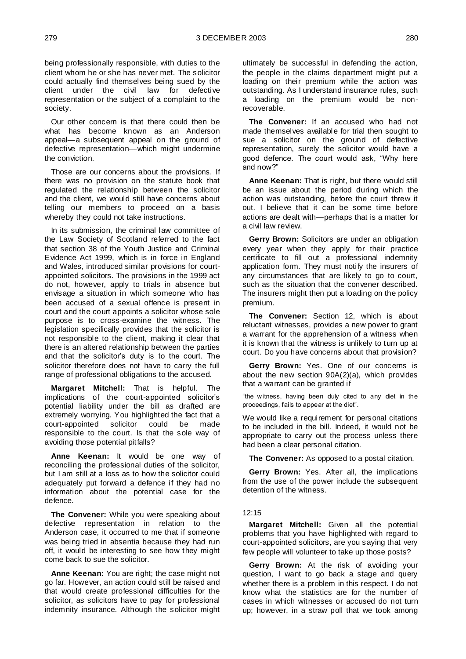being professionally responsible, with duties to the client whom he or she has never met. The solicitor could actually find themselves being sued by the client under the civil law for defective representation or the subject of a complaint to the society.

Our other concern is that there could then be what has become known as an Anderson appeal—a subsequent appeal on the ground of defective representation—which might undermine the conviction.

Those are our concerns about the provisions. If there was no provision on the statute book that regulated the relationship between the solicitor and the client, we would still have concerns about telling our members to proceed on a basis whereby they could not take instructions.

In its submission, the criminal law committee of the Law Society of Scotland referred to the fact that section 38 of the Youth Justice and Criminal Evidence Act 1999, which is in force in England and Wales, introduced similar provisions for courtappointed solicitors. The provisions in the 1999 act do not, however, apply to trials in absence but envisage a situation in which someone who has been accused of a sexual offence is present in court and the court appoints a solicitor whose sole purpose is to cross-examine the witness. The legislation specifically provides that the solicitor is not responsible to the client, making it clear that there is an altered relationship between the parties and that the solicitor's duty is to the court. The solicitor therefore does not have to carry the full range of professional obligations to the accused.

**Margaret Mitchell:** That is helpful. The implications of the court-appointed solicitor's potential liability under the bill as drafted are extremely worrying. You highlighted the fact that a court-appointed solicitor could be made responsible to the court. Is that the sole way of avoiding those potential pitfalls?

**Anne Keenan:** It would be one way of reconciling the professional duties of the solicitor, but I am still at a loss as to how the solicitor could adequately put forward a defence if they had no information about the potential case for the defence.

**The Convener:** While you were speaking about defective representation in relation to the Anderson case, it occurred to me that if someone was being tried in absentia because they had run off, it would be interesting to see how they might come back to sue the solicitor.

**Anne Keenan:** You are right; the case might not go far. However, an action could still be raised and that would create professional difficulties for the solicitor, as solicitors have to pay for professional indemnity insurance. Although the solicitor might

ultimately be successful in defending the action, the people in the claims department might put a loading on their premium while the action was outstanding. As I understand insurance rules, such a loading on the premium would be nonrecoverable.

**The Convener:** If an accused who had not made themselves available for trial then sought to sue a solicitor on the ground of defective representation, surely the solicitor would have a good defence. The court would ask, "Why here and now?"

**Anne Keenan:** That is right, but there would still be an issue about the period during which the action was outstanding, before the court threw it out. I believe that it can be some time before actions are dealt with—perhaps that is a matter for a civil law review.

**Gerry Brown:** Solicitors are under an obligation every year when they apply for their practice certificate to fill out a professional indemnity application form. They must notify the insurers of any circumstances that are likely to go to court, such as the situation that the convener described. The insurers might then put a loading on the policy premium.

**The Convener:** Section 12, which is about reluctant witnesses, provides a new power to grant a warrant for the apprehension of a witness when it is known that the witness is unlikely to turn up at court. Do you have concerns about that provision?

**Gerry Brown:** Yes. One of our concerns is about the new section 90A(2)(a), which provides that a warrant can be granted if

"the w itness, having been duly cited to any diet in the proceedings, fails to appear at the diet".

We would like a requirement for personal citations to be included in the bill. Indeed, it would not be appropriate to carry out the process unless there had been a clear personal citation.

**The Convener:** As opposed to a postal citation.

**Gerry Brown:** Yes. After all, the implications from the use of the power include the subsequent detention of the witness.

#### 12:15

**Margaret Mitchell:** Given all the potential problems that you have highlighted with regard to court-appointed solicitors, are you saying that very few people will volunteer to take up those posts?

**Gerry Brown:** At the risk of avoiding your question, I want to go back a stage and query whether there is a problem in this respect. I do not know what the statistics are for the number of cases in which witnesses or accused do not turn up; however, in a straw poll that we took among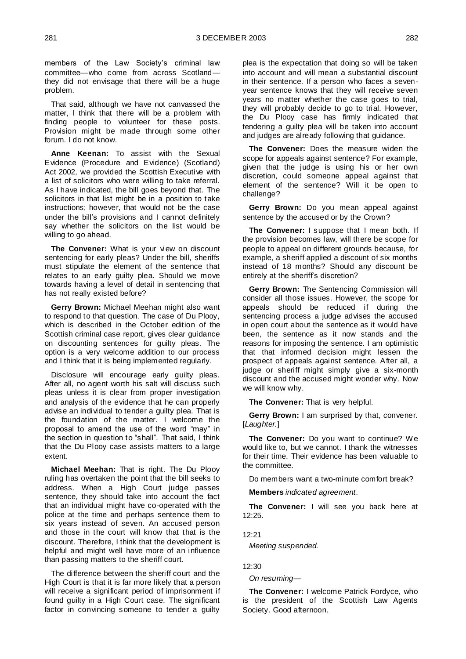members of the Law Society's criminal law committee—who come from across Scotland they did not envisage that there will be a huge problem.

That said, although we have not canvassed the matter, I think that there will be a problem with finding people to volunteer for these posts. Provision might be made through some other forum. I do not know.

**Anne Keenan:** To assist with the Sexual Evidence (Procedure and Evidence) (Scotland) Act 2002, we provided the Scottish Executive with a list of solicitors who were willing to take referral. As I have indicated, the bill goes beyond that. The solicitors in that list might be in a position to take instructions; however, that would not be the case under the bill's provisions and I cannot definitely say whether the solicitors on the list would be willing to go ahead.

The Convener: What is your view on discount sentencing for early pleas? Under the bill, sheriffs must stipulate the element of the sentence that relates to an early guilty plea. Should we move towards having a level of detail in sentencing that has not really existed before?

**Gerry Brown:** Michael Meehan might also want to respond to that question. The case of Du Plooy, which is described in the October edition of the Scottish criminal case report, gives clear guidance on discounting sentences for guilty pleas. The option is a very welcome addition to our process and I think that it is being implemented regularly.

Disclosure will encourage early guilty pleas. After all, no agent worth his salt will discuss such pleas unless it is clear from proper investigation and analysis of the evidence that he can properly advise an individual to tender a guilty plea. That is the foundation of the matter. I welcome the proposal to amend the use of the word "may" in the section in question to "shall". That said, I think that the Du Plooy case assists matters to a large extent.

**Michael Meehan:** That is right. The Du Plooy ruling has overtaken the point that the bill seeks to address. When a High Court judge passes sentence, they should take into account the fact that an individual might have co-operated with the police at the time and perhaps sentence them to six years instead of seven. An accused person and those in the court will know that that is the discount. Therefore, I think that the development is helpful and might well have more of an influence than passing matters to the sheriff court.

The difference between the sheriff court and the High Court is that it is far more likely that a person will receive a significant period of imprisonment if found guilty in a High Court case. The significant factor in convincing someone to tender a guilty

plea is the expectation that doing so will be taken into account and will mean a substantial discount in their sentence. If a person who faces a sevenyear sentence knows that they will receive seven years no matter whether the case goes to trial, they will probably decide to go to trial. However, the Du Plooy case has firmly indicated that tendering a guilty plea will be taken into account and judges are already following that guidance.

**The Convener:** Does the measure widen the scope for appeals against sentence? For example, given that the judge is using his or her own discretion, could someone appeal against that element of the sentence? Will it be open to challenge?

**Gerry Brown:** Do you mean appeal against sentence by the accused or by the Crown?

**The Convener:** I suppose that I mean both. If the provision becomes law, will there be scope for people to appeal on different grounds because, for example, a sheriff applied a discount of six months instead of 18 months? Should any discount be entirely at the sheriff's discretion?

**Gerry Brown:** The Sentencing Commission will consider all those issues. However, the scope for appeals should be reduced if during the sentencing process a judge advises the accused in open court about the sentence as it would have been, the sentence as it now stands and the reasons for imposing the sentence. I am optimistic that that informed decision might lessen the prospect of appeals against sentence. After all, a judge or sheriff might simply give a six-month discount and the accused might wonder why. Now we will know why.

**The Convener:** That is very helpful.

Gerry Brown: I am surprised by that, convener. [*Laughter.*]

**The Convener:** Do you want to continue? We would like to, but we cannot. I thank the witnesses for their time. Their evidence has been valuable to the committee.

Do members want a two-minute comfort break?

**Members** *indicated agreement*.

**The Convener:** I will see you back here at 12:25.

 $12.21$ 

*Meeting suspended.*

12:30

*On resuming—*

**The Convener:** I welcome Patrick Fordyce, who is the president of the Scottish Law Agents Society. Good afternoon.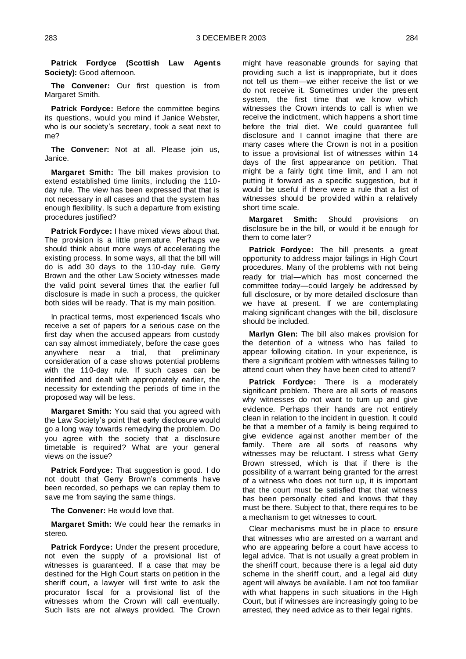**Patrick Fordyce (Scottish Law Agents Society):** Good afternoon.

**The Convener:** Our first question is from Margaret Smith.

**Patrick Fordyce:** Before the committee begins its questions, would you mind if Janice Webster, who is our society's secretary, took a seat next to me?

**The Convener:** Not at all. Please join us, Janice.

**Margaret Smith:** The bill makes provision to extend established time limits, including the 110 day rule. The view has been expressed that that is not necessary in all cases and that the system has enough flexibility. Is such a departure from existing procedures justified?

**Patrick Fordyce:** I have mixed views about that. The provision is a little premature. Perhaps we should think about more ways of accelerating the existing process. In some ways, all that the bill will do is add 30 days to the 110-day rule. Gerry Brown and the other Law Society witnesses made the valid point several times that the earlier full disclosure is made in such a process, the quicker both sides will be ready. That is my main position.

In practical terms, most experienced fiscals who receive a set of papers for a serious case on the first day when the accused appears from custody can say almost immediately, before the case goes anywhere near a trial, that preliminary consideration of a case shows potential problems with the 110-day rule. If such cases can be identified and dealt with appropriately earlier, the necessity for extending the periods of time in the proposed way will be less.

**Margaret Smith:** You said that you agreed with the Law Society's point that early disclosure would go a long way towards remedying the problem. Do you agree with the society that a disclosure timetable is required? What are your general views on the issue?

**Patrick Fordyce:** That suggestion is good. I do not doubt that Gerry Brown's comments have been recorded, so perhaps we can replay them to save me from saying the same things.

**The Convener:** He would love that.

**Margaret Smith:** We could hear the remarks in stereo.

**Patrick Fordyce:** Under the present procedure, not even the supply of a provisional list of witnesses is guaranteed. If a case that may be destined for the High Court starts on petition in the sheriff court, a lawyer will first write to ask the procurator fiscal for a provisional list of the witnesses whom the Crown will call eventually. Such lists are not always provided. The Crown

might have reasonable grounds for saying that providing such a list is inappropriate, but it does not tell us them—we either receive the list or we do not receive it. Sometimes under the present system, the first time that we know which witnesses the Crown intends to call is when we receive the indictment, which happens a short time before the trial diet. We could guarantee full disclosure and I cannot imagine that there are many cases where the Crown is not in a position to issue a provisional list of witnesses within 14 days of the first appearance on petition. That might be a fairly tight time limit, and I am not putting it forward as a specific suggestion, but it would be useful if there were a rule that a list of witnesses should be provided within a relatively short time scale.

**Margaret Smith:** Should provisions on disclosure be in the bill, or would it be enough for them to come later?

**Patrick Fordyce:** The bill presents a great opportunity to address major failings in High Court procedures. Many of the problems with not being ready for trial—which has most concerned the committee today—could largely be addressed by full disclosure, or by more detailed disclosure than we have at present. If we are contemplating making significant changes with the bill, disclosure should be included.

**Marlyn Glen:** The bill also makes provision for the detention of a witness who has failed to appear following citation. In your experience, is there a significant problem with witnesses failing to attend court when they have been cited to attend?

**Patrick Fordyce:** There is a moderately significant problem. There are all sorts of reasons why witnesses do not want to turn up and give evidence. Perhaps their hands are not entirely clean in relation to the incident in question. It could be that a member of a family is being required to give evidence against another member of the family. There are all sorts of reasons why witnesses may be reluctant. I stress what Gerry Brown stressed, which is that if there is the possibility of a warrant being granted for the arrest of a witness who does not turn up, it is important that the court must be satisfied that that witness has been personally cited and knows that they must be there. Subject to that, there requires to be a mechanism to get witnesses to court.

Clear mechanisms must be in place to ensure that witnesses who are arrested on a warrant and who are appearing before a court have access to legal advice. That is not usually a great problem in the sheriff court, because there is a legal aid duty scheme in the sheriff court, and a legal aid duty agent will always be available. I am not too familiar with what happens in such situations in the High Court, but if witnesses are increasingly going to be arrested, they need advice as to their legal rights.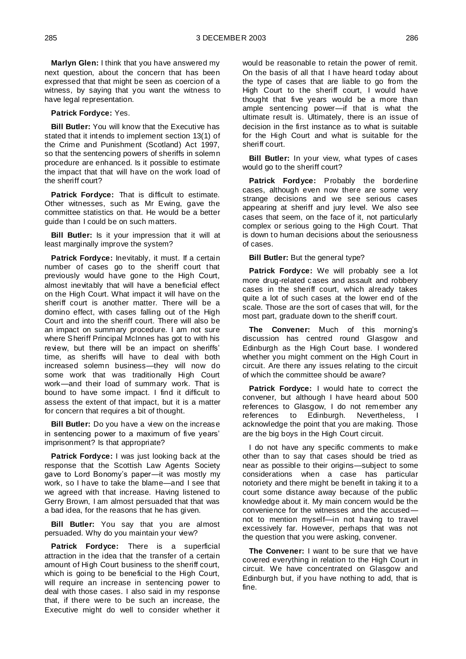**Marlyn Glen:** I think that you have answered my next question, about the concern that has been expressed that that might be seen as coercion of a witness, by saying that you want the witness to have legal representation.

#### **Patrick Fordyce:** Yes.

**Bill Butler:** You will know that the Executive has stated that it intends to implement section 13(1) of the Crime and Punishment (Scotland) Act 1997, so that the sentencing powers of sheriffs in solemn procedure are enhanced. Is it possible to estimate the impact that that will have on the work load of the sheriff court?

**Patrick Fordyce:** That is difficult to estimate. Other witnesses, such as Mr Ewing, gave the committee statistics on that. He would be a better guide than I could be on such matters.

**Bill Butler:** Is it your impression that it will at least marginally improve the system?

Patrick Fordyce: Inevitably, it must. If a certain number of cases go to the sheriff court that previously would have gone to the High Court, almost inevitably that will have a beneficial effect on the High Court. What impact it will have on the sheriff court is another matter. There will be a domino effect, with cases falling out of the High Court and into the sheriff court. There will also be an impact on summary procedure. I am not sure where Sheriff Principal McInnes has got to with his review, but there will be an impact on sheriffs' time, as sheriffs will have to deal with both increased solemn business—they will now do some work that was traditionally High Court work—and their load of summary work. That is bound to have some impact. I find it difficult to assess the extent of that impact, but it is a matter for concern that requires a bit of thought.

**Bill Butler:** Do you have a view on the increase in sentencing power to a maximum of five years' imprisonment? Is that appropriate?

**Patrick Fordyce:** I was just looking back at the response that the Scottish Law Agents Society gave to Lord Bonomy's paper—it was mostly my work, so I have to take the blame—and I see that we agreed with that increase. Having listened to Gerry Brown, I am almost persuaded that that was a bad idea, for the reasons that he has given.

**Bill Butler:** You say that you are almost persuaded. Why do you maintain your view?

**Patrick Fordyce:** There is a superficial attraction in the idea that the transfer of a certain amount of High Court business to the sheriff court, which is going to be beneficial to the High Court, will require an increase in sentencing power to deal with those cases. I also said in my response that, if there were to be such an increase, the Executive might do well to consider whether it would be reasonable to retain the power of remit. On the basis of all that I have heard t oday about the type of cases that are liable to go from the High Court to the sheriff court, I would have thought that five years would be a more than ample sentencing power—if that is what the ultimate result is. Ultimately, there is an issue of decision in the first instance as to what is suitable for the High Court and what is suitable for the sheriff court.

**Bill Butler:** In your view, what types of cases would go to the sheriff court?

**Patrick Fordyce:** Probably the borderline cases, although even now there are some very strange decisions and we see serious cases appearing at sheriff and jury level. We also see cases that seem, on the face of it, not particularly complex or serious going to the High Court. That is down to human decisions about the seriousness of cases.

**Bill Butler:** But the general type?

**Patrick Fordyce:** We will probably see a lot more drug-related cases and assault and robbery cases in the sheriff court, which already takes quite a lot of such cases at the lower end of the scale. Those are the sort of cases that will, for the most part, graduate down to the sheriff court.

**The Convener:** Much of this morning's discussion has centred round Glasgow and Edinburgh as the High Court base. I wondered whether you might comment on the High Court in circuit. Are there any issues relating to the circuit of which the committee should be aware?

**Patrick Fordyce:** I would hate to correct the convener, but although I have heard about 500 references to Glasgow, I do not remember any references to Edinburgh. Nevertheless, I acknowledge the point that you are making. Those are the big boys in the High Court circuit.

I do not have any specific comments to make other than to say that cases should be tried as near as possible to their origins—subject to some considerations when a case has particular notoriety and there might be benefit in taking it to a court some distance away because of the public knowledge about it. My main concern would be the convenience for the witnesses and the accused not to mention myself—in not having to travel excessively far. However, perhaps that was not the question that you were asking, convener.

**The Convener:** I want to be sure that we have covered everything in relation to the High Court in circuit. We have concentrated on Glasgow and Edinburgh but, if you have nothing to add, that is fine.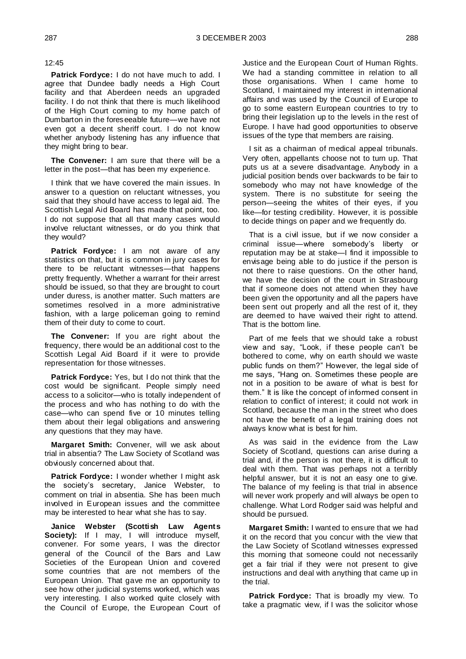12:45

**Patrick Fordyce:** I do not have much to add. I agree that Dundee badly needs a High Court facility and that Aberdeen needs an upgraded facility. I do not think that there is much likelihood of the High Court coming to my home patch of Dumbarton in the foreseeable future—we have not even got a decent sheriff court. I do not know whether anybody listening has any influence that they might bring to bear.

**The Convener:** I am sure that there will be a letter in the post—that has been my experience.

I think that we have covered the main issues. In answer to a question on reluctant witnesses, you said that they should have access to legal aid. The Scottish Legal Aid Board has made that point, too. I do not suppose that all that many cases would involve reluctant witnesses, or do you think that they would?

**Patrick Fordyce:** I am not aware of any statistics on that, but it is common in jury cases for there to be reluctant witnesses—that happens pretty frequently. Whether a warrant for their arrest should be issued, so that they are brought to court under duress, is another matter. Such matters are sometimes resolved in a more administrative fashion, with a large policeman going to remind them of their duty to come to court.

**The Convener:** If you are right about the frequency, there would be an additional cost to the Scottish Legal Aid Board if it were to provide representation for those witnesses.

**Patrick Fordyce:** Yes, but I do not think that the cost would be significant. People simply need access to a solicitor—who is totally independent of the process and who has nothing to do with the case—who can spend five or 10 minutes telling them about their legal obligations and answering any questions that they may have.

**Margaret Smith:** Convener, will we ask about trial in absentia? The Law Society of Scotland was obviously concerned about that.

**Patrick Fordyce:** I wonder whether I might ask the society's secretary, Janice Webster, to comment on trial in absentia. She has been much involved in European issues and the committee may be interested to hear what she has to say.

**Janice Webster (Scottish Law Agents**  Society): If I may, I will introduce myself, convener. For some years, I was the director general of the Council of the Bars and Law Societies of the European Union and covered some countries that are not members of the European Union. That gave me an opportunity to see how other judicial systems worked, which was very interesting. I also worked quite closely with the Council of Europe, the European Court of

Justice and the European Court of Human Rights. We had a standing committee in relation to all those organisations. When I came home to Scotland, I maintained my interest in international affairs and was used by the Council of Europe to go to some eastern European countries to try to bring their legislation up to the levels in the rest of Europe. I have had good opportunities to observe issues of the type that members are raising.

I sit as a chairman of medical appeal tribunals. Very often, appellants choose not to turn up. That puts us at a severe disadvantage. Anybody in a judicial position bends over backwards to be fair to somebody who may not have knowledge of the system. There is no substitute for seeing the person—seeing the whites of their eyes, if you like—for testing credibility. However, it is possible to decide things on paper and we frequently do.

That is a civil issue, but if we now consider a criminal issue—where somebody's liberty or reputation may be at stake—I find it impossible to envisage being able to do justice if the person is not there to raise questions. On the other hand, we have the decision of the court in Strasbourg that if someone does not attend when they have been given the opportunity and all the papers have been sent out properly and all the rest of it, they are deemed to have waived their right to attend. That is the bottom line.

Part of me feels that we should take a robust view and say, "Look, if these people can't be bothered to come, why on earth should we waste public funds on them?" However, the legal side of me says, "Hang on. Sometimes these people are not in a position to be aware of what is best for them." It is like the concept of informed consent in relation to conflict of interest; it could not work in Scotland, because the man in the street who does not have the benefit of a legal training does not always know what is best for him.

As was said in the evidence from the Law Society of Scotland, questions can arise during a trial and, if the person is not there, it is difficult to deal with them. That was perhaps not a terribly helpful answer, but it is not an easy one to give. The balance of my feeling is that trial in absence will never work properly and will always be open to challenge. What Lord Rodger said was helpful and should be pursued.

**Margaret Smith:** I wanted to ensure that we had it on the record that you concur with the view that the Law Society of Scotland witnesses expressed this morning that someone could not necessarily get a fair trial if they were not present to give instructions and deal with anything that came up in the trial.

**Patrick Fordyce:** That is broadly my view. To take a pragmatic view, if I was the solicitor whose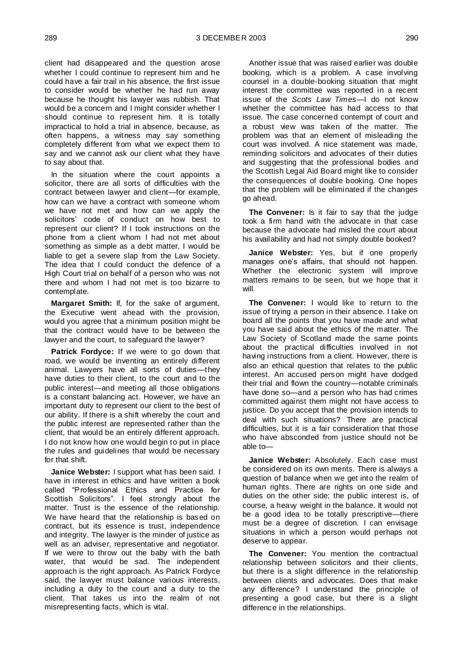client had disappeared and the question arose whether I could continue to represent him and he could have a fair trail in his absence, the first issue to consider would be whether he had run away because he thought his lawyer was rubbish. That would be a concern and I might consider whether I should continue to represent him. It is totally impractical to hold a trial in absence, because, as often happens, a witness may say something completely different from what we expect them to say and we cannot ask our client what they have to say about that.

In the situation where the court appoints a solicitor, there are all sorts of difficulties with the contract between lawyer and client—for example, how can we have a contract with someone whom we have not met and how can we apply the solicitors' code of conduct on how best to represent our client? If I took instructions on the phone from a client whom I had not met about something as simple as a debt matter, I would be liable to get a severe slap from the Law Society. The idea that I could conduct the defence of a High Court trial on behalf of a person who was not there and whom I had not met is too bizarre to contemplate.

**Margaret Smith:** If, for the sake of argument, the Executive went ahead with the provision, would you agree that a minimum position might be that the contract would have to be between the lawyer and the court, to safeguard the lawyer?

**Patrick Fordyce:** If we were to go down that road, we would be inventing an entirely different animal. Lawyers have all sorts of duties—they have duties to their client, to the court and to the public interest—and meeting all those obligations is a constant balancing act. However, we have an important duty to represent our client to the best of our ability. If there is a shift whereby the court and the public interest are represented rather than the client, that would be an entirely different approach. I do not know how one would begin to put in place the rules and guidelines that would be necessary for that shift.

**Janice Webster:** I support what has been said. I have in interest in ethics and have written a book called "Professional Ethics and Practice for Scottish Solicitors". I feel strongly about the matter. Trust is the essence of the relationship. We have heard that the relationship is based on contract, but its essence is trust, independence and integrity. The lawyer is the minder of justice as well as an adviser, representative and negotiator. If we were to throw out the baby with the bath water, that would be sad. The independent approach is the right approach. As Patrick Fordyce said, the lawyer must balance various interests, including a duty to the court and a duty to the client. That takes us into the realm of not misrepresenting facts, which is vital.

Another issue that was raised earlier was double booking, which is a problem. A case involving counsel in a double-booking situation that might interest the committee was reported in a recent issue of the *Scots Law Times*—I do not know whether the committee has had access to that issue. The case concerned contempt of court and a robust view was taken of the matter. The problem was that an element of misleading the court was involved. A nice statement was made, reminding solicitors and advocates of their duties and suggesting that the professional bodies and the Scottish Legal Aid Board might like to consider the consequences of double booking. One hopes that the problem will be eliminated if the changes go ahead.

**The Convener:** Is it fair to say that the judge took a firm hand with the advocate in that case because the advocate had misled the court about his availability and had not simply double booked?

**Janice Webster:** Yes, but if one properly manages one's affairs, that should not happen. Whether the electronic system will improve matters remains to be seen, but we hope that it will.

**The Convener:** I would like to return to the issue of trying a person in their absence. I take on board all the points that you have made and what you have said about the ethics of the matter. The Law Society of Scotland made the same points about the practical difficulties involved in not having instructions from a client. However, there is also an ethical question that relates to the public interest. An accused person might have dodged their trial and flown the country—notable criminals have done so—and a person who has had crimes committed against them might not have access to justice. Do you accept that the provision intends to deal with such situations? There are practical difficulties, but it is a fair consideration that those who have absconded from justice should not be able to—

**Janice Webster:** Absolutely. Each case must be considered on its own merits. There is always a question of balance when we get into the realm of human rights. There are rights on one side and duties on the other side; the public interest is, of course, a heavy weight in the balance. It would not be a good idea to be totally prescriptive—there must be a degree of discretion. I can envisage situations in which a person would perhaps not deserve to appear.

**The Convener:** You mention the contractual relationship between solicitors and their clients, but there is a slight difference in the relationship between clients and advocates. Does that make any difference? I understand the principle of presenting a good case, but there is a slight difference in the relationships.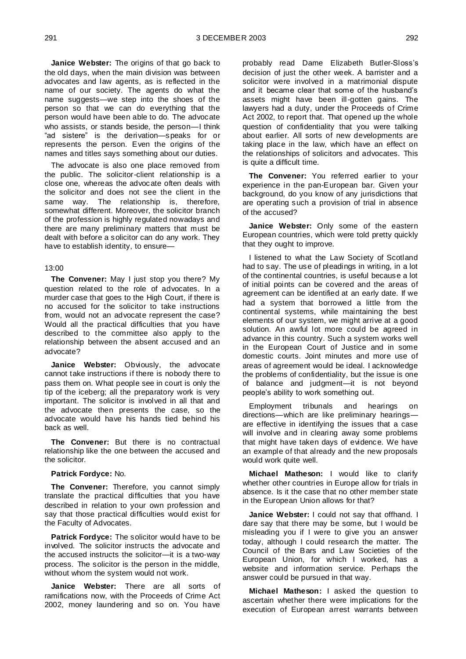**Janice Webster:** The origins of that go back to the old days, when the main division was between advocates and law agents, as is reflected in the name of our society. The agents do what the name suggests—we step into the shoes of the person so that we can do everything that the person would have been able to do. The advocate who assists, or stands beside, the person—I think "ad sistere" is the derivation—speaks for or represents the person. Even the origins of the names and titles says something about our duties.

The advocate is also one place removed from the public. The solicitor-client relationship is a close one, whereas the advocate often deals with the solicitor and does not see the client in the same way. The relationship is, therefore, somewhat different. Moreover, the solicitor branch of the profession is highly regulated nowadays and there are many preliminary matters that must be dealt with before a solicitor can do any work. They have to establish identity, to ensure—

#### 13:00

**The Convener:** May I just stop you there? My question related to the role of advocates. In a murder case that goes to the High Court, if there is no accused for the solicitor to take instructions from, would not an advocate represent the case? Would all the practical difficulties that you have described to the committee also apply to the relationship between the absent accused and an advocate?

**Janice Webster:** Obviously, the advocate cannot take instructions if there is nobody there to pass them on. What people see in court is only the tip of the iceberg; all the preparatory work is very important. The solicitor is involved in all that and the advocate then presents the case, so the advocate would have his hands tied behind his back as well.

**The Convener:** But there is no contractual relationship like the one between the accused and the solicitor.

#### **Patrick Fordyce:** No.

**The Convener:** Therefore, you cannot simply translate the practical difficulties that you have described in relation to your own profession and say that those practical difficulties would exist for the Faculty of Advocates.

**Patrick Fordyce:** The solicitor would have to be involved. The solicitor instructs the advocate and the accused instructs the solicitor—it is a two-way process. The solicitor is the person in the middle, without whom the system would not work.

**Janice Webster:** There are all sorts of ramifications now, with the Proceeds of Crime Act 2002, money laundering and so on. You have

probably read Dame Elizabeth Butler-Sloss's decision of just the other week. A barrister and a solicitor were involved in a matrimonial dispute and it became clear that some of the husband's assets might have been ill-gotten gains. The lawyers had a duty, under the Proceeds of Crime Act 2002, to report that. That opened up the whole question of confidentiality that you were talking about earlier. All sorts of new developments are taking place in the law, which have an effect on the relationships of solicitors and advocates. This is quite a difficult time.

**The Convener:** You referred earlier to your experience in the pan-European bar. Given your background, do you know of any jurisdictions that are operating such a provision of trial in absence of the accused?

**Janice Webster:** Only some of the eastern European countries, which were told pretty quickly that they ought to improve.

I listened to what the Law Society of Scotland had to say. The use of pleadings in writing, in a lot of the continental countries, is useful because a lot of initial points can be covered and the areas of agreement can be identified at an early date. If we had a system that borrowed a little from the continental systems, while maintaining the best elements of our system, we might arrive at a good solution. An awful lot more could be agreed in advance in this country. Such a system works well in the European Court of Justice and in some domestic courts. Joint minutes and more use of areas of agreement would be ideal. I acknowledge the problems of confidentiality, but the issue is one of balance and judgment—it is not beyond people's ability to work something out.

Employment tribunals and hearings on directions—which are like preliminary hearings are effective in identifying the issues that a case will involve and in clearing away some problems that might have taken days of evidence. We have an example of that already and the new proposals would work quite well.

**Michael Matheson:** I would like to clarify whether other countries in Europe allow for trials in absence. Is it the case that no other member state in the European Union allows for that?

**Janice Webster:** I could not say that offhand. I dare say that there may be some, but I would be misleading you if I were to give you an answer today, although I could research the matter. The Council of the Bars and Law Societies of the European Union, for which I worked, has a website and information service. Perhaps the answer could be pursued in that way.

**Michael Matheson:** I asked the question to ascertain whether there were implications for the execution of European arrest warrants between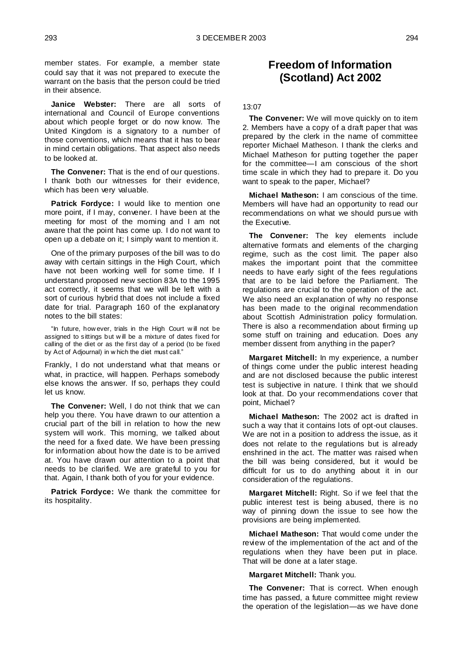member states. For example, a member state could say that it was not prepared to execute the warrant on the basis that the person could be tried in their absence.

**Janice Webster:** There are all sorts of international and Council of Europe conventions about which people forget or do now know. The United Kingdom is a signatory to a number of those conventions, which means that it has to bear in mind certain obligations. That aspect also needs to be looked at.

**The Convener:** That is the end of our questions. I thank both our witnesses for their evidence, which has been very valuable.

**Patrick Fordyce:** I would like to mention one more point, if I may, convener. I have been at the meeting for most of the morning and I am not aware that the point has come up. I do not want to open up a debate on it; I simply want to mention it.

One of the primary purposes of the bill was to do away with certain sittings in the High Court, which have not been working well for some time. If I understand proposed new section 83A to the 1995 act correctly, it seems that we will be left with a sort of curious hybrid that does not include a fixed date for trial. Paragraph 160 of the explanatory notes to the bill states:

"In future, how ever, trials in the High Court w ill not be assigned to sittings but w ill be a mixture of dates fixed for calling of the diet or as the first day of a period (to be fixed by Act of Adjournal) in w hich the diet must call."

Frankly, I do not understand what that means or what, in practice, will happen. Perhaps somebody else knows the answer. If so, perhaps they could let us know.

**The Convener:** Well, I do not think that we can help you there. You have drawn to our attention a crucial part of the bill in relation to how the new system will work. This morning, we talked about the need for a fixed date. We have been pressing for information about how the date is to be arrived at. You have drawn our attention to a point that needs to be clarified. We are grateful to you for that. Again, I thank both of you for your evidence.

**Patrick Fordyce:** We thank the committee for its hospitality.

### **Freedom of Information (Scotland) Act 2002**

#### 13:07

**The Convener:** We will move quickly on to item 2. Members have a copy of a draft paper that was prepared by the clerk in the name of committee reporter Michael Matheson. I thank the clerks and Michael Matheson for putting together the paper for the committee—I am conscious of the short time scale in which they had to prepare it. Do you want to speak to the paper, Michael?

**Michael Matheson:** I am conscious of the time. Members will have had an opportunity to read our recommendations on what we should pursue with the Executive.

**The Convener:** The key elements include alternative formats and elements of the charging regime, such as the cost limit. The paper also makes the important point that the committee needs to have early sight of the fees regulations that are to be laid before the Parliament. The regulations are crucial to the operation of the act. We also need an explanation of why no response has been made to the original recommendation about Scottish Administration policy formulation. There is also a recommendation about firming up some stuff on training and education. Does any member dissent from anything in the paper?

**Margaret Mitchell:** In my experience, a number of things come under the public interest heading and are not disclosed because the public interest test is subjective in nature. I think that we should look at that. Do your recommendations cover that point, Michael?

**Michael Matheson:** The 2002 act is drafted in such a way that it contains lots of opt-out clauses. We are not in a position to address the issue, as it does not relate to the regulations but is already enshrined in the act. The matter was raised when the bill was being considered, but it would be difficult for us to do anything about it in our consideration of the regulations.

**Margaret Mitchell:** Right. So if we feel that the public interest test is being abused, there is no way of pinning down the issue to see how the provisions are being implemented.

**Michael Matheson:** That would come under the review of the implementation of the act and of the regulations when they have been put in place. That will be done at a later stage.

**Margaret Mitchell:** Thank you.

**The Convener:** That is correct. When enough time has passed, a future committee might review the operation of the legislation—as we have done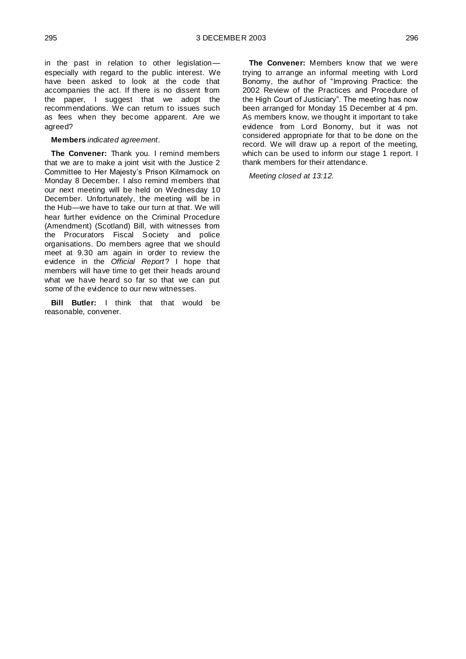in the past in relation to other legislation especially with regard to the public interest. We have been asked to look at the code that accompanies the act. If there is no dissent from the paper, I suggest that we adopt the recommendations. We can return to issues such as fees when they become apparent. Are we agreed?

#### **Members** *indicated agreement*.

**The Convener:** Thank you. I remind members that we are to make a joint visit with the Justice 2 Committee to Her Majesty's Prison Kilmarnock on Monday 8 December. I also remind members that our next meeting will be held on Wednesday 10 December. Unfortunately, the meeting will be in the Hub—we have to take our turn at that. We will hear further evidence on the Criminal Procedure (Amendment) (Scotland) Bill, with witnesses from the Procurators Fiscal Society and police organisations. Do members agree that we should meet at 9.30 am again in order to review the evidence in the *Official Report*? I hope that members will have time to get their heads around what we have heard so far so that we can put some of the evidence to our new witnesses.

**Bill Butler:** I think that that would be reasonable, convener.

**The Convener:** Members know that we were trying to arrange an informal meeting with Lord Bonomy, the author of "Improving Practice: the 2002 Review of the Practices and Procedure of the High Court of Justiciary". The meeting has now been arranged for Monday 15 December at 4 pm. As members know, we thought it important to take evidence from Lord Bonomy, but it was not considered appropriate for that to be done on the record. We will draw up a report of the meeting, which can be used to inform our stage 1 report. I thank members for their attendance.

*Meeting closed at 13:12.*